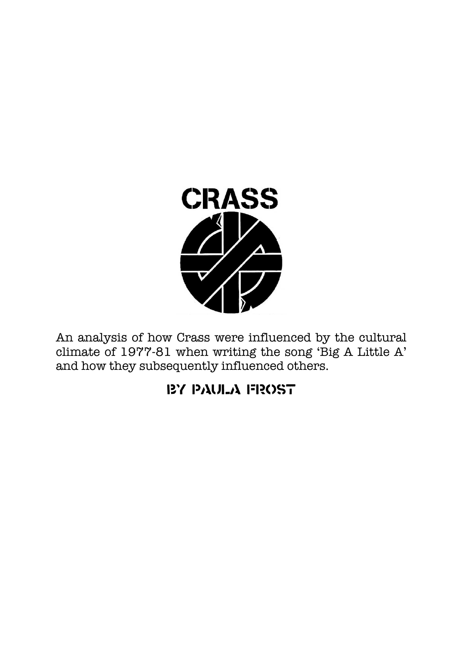

An analysis of how Crass were influenced by the cultural climate of 1977-81 when writing the song 'Big A Little A' and how they subsequently influenced others.

## By Paula Frost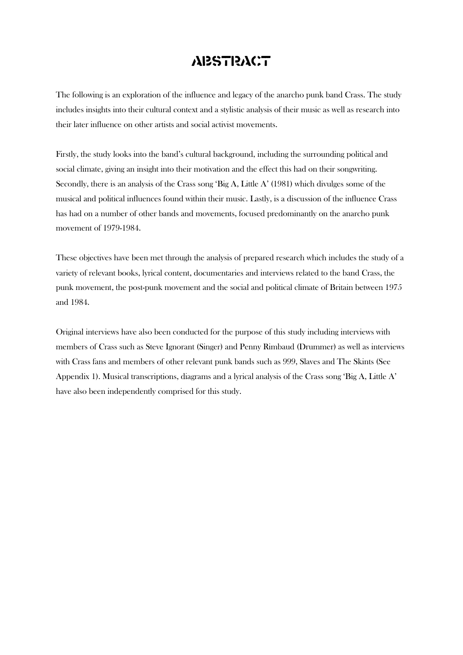## **ABSTRACT**

The following is an exploration of the influence and legacy of the anarcho punk band Crass. The study includes insights into their cultural context and a stylistic analysis of their music as well as research into their later influence on other artists and social activist movements.

Firstly, the study looks into the band's cultural background, including the surrounding political and social climate, giving an insight into their motivation and the effect this had on their songwriting. Secondly, there is an analysis of the Crass song 'Big A, Little A' (1981) which divulges some of the musical and political influences found within their music. Lastly, is a discussion of the influence Crass has had on a number of other bands and movements, focused predominantly on the anarcho punk movement of 1979-1984.

These objectives have been met through the analysis of prepared research which includes the study of a variety of relevant books, lyrical content, documentaries and interviews related to the band Crass, the punk movement, the post-punk movement and the social and political climate of Britain between 1975 and 1984.

Original interviews have also been conducted for the purpose of this study including interviews with members of Crass such as Steve Ignorant (Singer) and Penny Rimbaud (Drummer) as well as interviews with Crass fans and members of other relevant punk bands such as 999, Slaves and The Skints (See Appendix 1). Musical transcriptions, diagrams and a lyrical analysis of the Crass song 'Big A, Little A' have also been independently comprised for this study.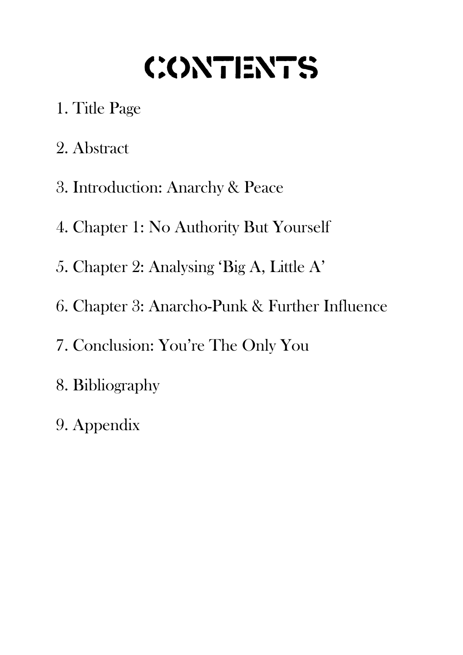## CONTENTS

- 1. Title Page
- 2. Abstract
- 3. Introduction: Anarchy & Peace
- 4. Chapter 1: No Authority But Yourself
- 5. Chapter 2: Analysing 'Big A, Little A'
- 6. Chapter 3: Anarcho-Punk & Further Influence
- 7. Conclusion: You're The Only You
- 8. Bibliography
- 9. Appendix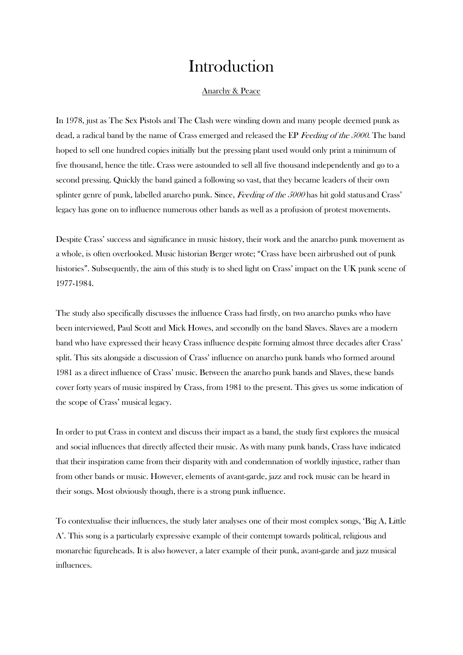## Introduction

#### Anarchy & Peace

In 1978, just as The Sex Pistols and The Clash were winding down and many people deemed punk as dead, a radical band by the name of Crass emerged and released the EP Feeding of the 5000. The band hoped to sell one hundred copies initially but the pressing plant used would only print a minimum of five thousand, hence the title. Crass were astounded to sell all five thousand independently and go to a second pressing. Quickly the band gained a following so vast, that they became leaders of their own splinter genre of punk, labelled anarcho punk. Since, *Feeding of the 5000* has hit gold status and Crass' legacy has gone on to influence numerous other bands as well as a profusion of protest movements.

Despite Crass' success and significance in music history, their work and the anarcho punk movement as a whole, is often overlooked. Music historian Berger wrote; "Crass have been airbrushed out of punk histories". Subsequently, the aim of this study is to shed light on Crass' impact on the UK punk scene of 1977-1984.

The study also specifically discusses the influence Crass had firstly, on two anarcho punks who have been interviewed, Paul Scott and Mick Howes, and secondly on the band Slaves. Slaves are a modern band who have expressed their heavy Crass influence despite forming almost three decades after Crass' split. This sits alongside a discussion of Crass' influence on anarcho punk bands who formed around 1981 as a direct influence of Crass' music. Between the anarcho punk bands and Slaves, these bands cover forty years of music inspired by Crass, from 1981 to the present. This gives us some indication of the scope of Crass' musical legacy.

In order to put Crass in context and discuss their impact as a band, the study first explores the musical and social influences that directly affected their music. As with many punk bands, Crass have indicated that their inspiration came from their disparity with and condemnation of worldly injustice, rather than from other bands or music. However, elements of avant-garde, jazz and rock music can be heard in their songs. Most obviously though, there is a strong punk influence.

To contextualise their influences, the study later analyses one of their most complex songs, 'Big A, Little A'. This song is a particularly expressive example of their contempt towards political, religious and monarchic figureheads. It is also however, a later example of their punk, avant-garde and jazz musical influences.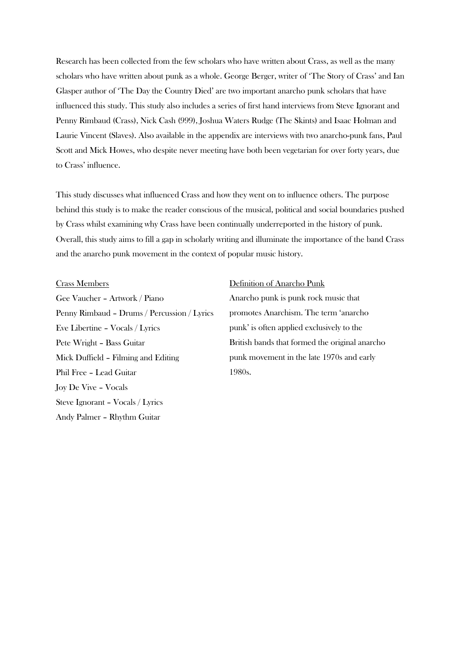Research has been collected from the few scholars who have written about Crass, as well as the many scholars who have written about punk as a whole. George Berger, writer of 'The Story of Crass' and Ian Glasper author of 'The Day the Country Died' are two important anarcho punk scholars that have influenced this study. This study also includes a series of first hand interviews from Steve Ignorant and Penny Rimbaud (Crass), Nick Cash (999), Joshua Waters Rudge (The Skints) and Isaac Holman and Laurie Vincent (Slaves). Also available in the appendix are interviews with two anarcho-punk fans, Paul Scott and Mick Howes, who despite never meeting have both been vegetarian for over forty years, due to Crass' influence.

This study discusses what influenced Crass and how they went on to influence others. The purpose behind this study is to make the reader conscious of the musical, political and social boundaries pushed by Crass whilst examining why Crass have been continually underreported in the history of punk. Overall, this study aims to fill a gap in scholarly writing and illuminate the importance of the band Crass and the anarcho punk movement in the context of popular music history.

#### Crass Members

Gee Vaucher – Artwork / Piano Penny Rimbaud – Drums / Percussion / Lyrics Eve Libertine – Vocals / Lyrics Pete Wright – Bass Guitar Mick Duffield – Filming and Editing Phil Free – Lead Guitar Joy De Vive – Vocals Steve Ignorant – Vocals / Lyrics Andy Palmer – Rhythm Guitar

#### Definition of Anarcho Punk

Anarcho punk is punk rock music that promotes Anarchism. The term 'anarcho punk' is often applied exclusively to the British bands that formed the original anarcho punk movement in the late 1970s and early 1980s.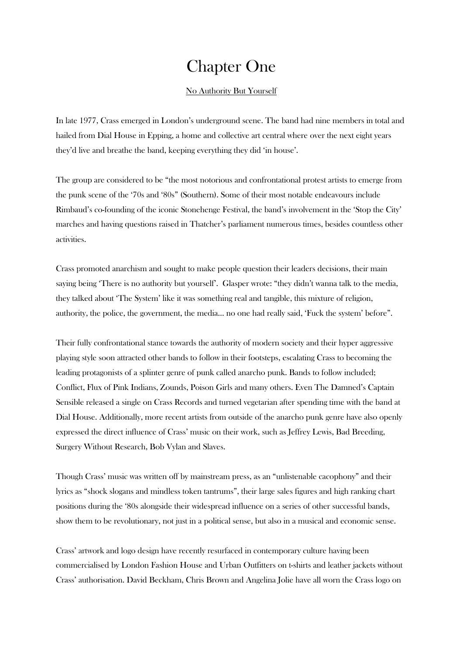## Chapter One

#### No Authority But Yourself

In late 1977, Crass emerged in London's underground scene. The band had nine members in total and hailed from Dial House in Epping, a home and collective art central where over the next eight years they'd live and breathe the band, keeping everything they did 'in house'.

The group are considered to be "the most notorious and confrontational protest artists to emerge from the punk scene of the '70s and '80s" (Southern). Some of their most notable endeavours include Rimbaud's co-founding of the iconic Stonehenge Festival, the band's involvement in the 'Stop the City' marches and having questions raised in Thatcher's parliament numerous times, besides countless other activities.

Crass promoted anarchism and sought to make people question their leaders decisions, their main saying being 'There is no authority but yourself'. Glasper wrote: "they didn't wanna talk to the media, they talked about 'The System' like it was something real and tangible, this mixture of religion, authority, the police, the government, the media… no one had really said, 'Fuck the system' before".

Their fully confrontational stance towards the authority of modern society and their hyper aggressive playing style soon attracted other bands to follow in their footsteps, escalating Crass to becoming the leading protagonists of a splinter genre of punk called anarcho punk. Bands to follow included; Conflict, Flux of Pink Indians, Zounds, Poison Girls and many others. Even The Damned's Captain Sensible released a single on Crass Records and turned vegetarian after spending time with the band at Dial House. Additionally, more recent artists from outside of the anarcho punk genre have also openly expressed the direct influence of Crass' music on their work, such as Jeffrey Lewis, Bad Breeding, Surgery Without Research, Bob Vylan and Slaves.

Though Crass' music was written off by mainstream press, as an "unlistenable cacophony" and their lyrics as "shock slogans and mindless token tantrums", their large sales figures and high ranking chart positions during the '80s alongside their widespread influence on a series of other successful bands, show them to be revolutionary, not just in a political sense, but also in a musical and economic sense.

Crass' artwork and logo design have recently resurfaced in contemporary culture having been commercialised by London Fashion House and Urban Outfitters on t-shirts and leather jackets without Crass' authorisation. David Beckham, Chris Brown and Angelina Jolie have all worn the Crass logo on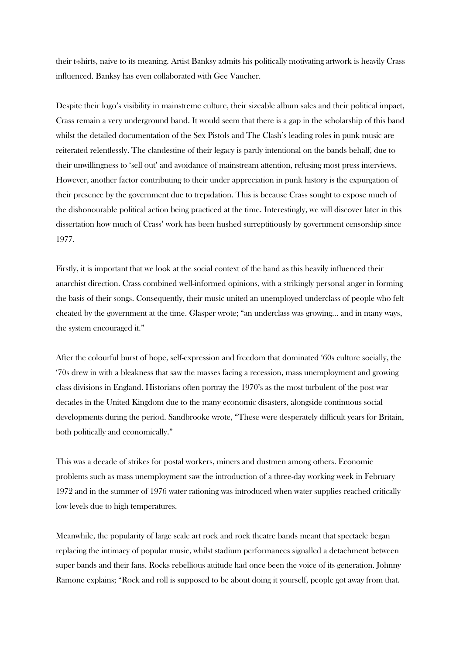their t-shirts, naive to its meaning. Artist Banksy admits his politically motivating artwork is heavily Crass influenced. Banksy has even collaborated with Gee Vaucher.

Despite their logo's visibility in mainstreme culture, their sizeable album sales and their political impact, Crass remain a very underground band. It would seem that there is a gap in the scholarship of this band whilst the detailed documentation of the Sex Pistols and The Clash's leading roles in punk music are reiterated relentlessly. The clandestine of their legacy is partly intentional on the bands behalf, due to their unwillingness to 'sell out' and avoidance of mainstream attention, refusing most press interviews. However, another factor contributing to their under appreciation in punk history is the expurgation of their presence by the government due to trepidation. This is because Crass sought to expose much of the dishonourable political action being practiced at the time. Interestingly, we will discover later in this dissertation how much of Crass' work has been hushed surreptitiously by government censorship since 1977.

Firstly, it is important that we look at the social context of the band as this heavily influenced their anarchist direction. Crass combined well-informed opinions, with a strikingly personal anger in forming the basis of their songs. Consequently, their music united an unemployed underclass of people who felt cheated by the government at the time. Glasper wrote; "an underclass was growing… and in many ways, the system encouraged it."

After the colourful burst of hope, self-expression and freedom that dominated '60s culture socially, the '70s drew in with a bleakness that saw the masses facing a recession, mass unemployment and growing class divisions in England. Historians often portray the 1970's as the most turbulent of the post war decades in the United Kingdom due to the many economic disasters, alongside continuous social developments during the period. Sandbrooke wrote, "These were desperately difficult years for Britain, both politically and economically."

This was a decade of strikes for postal workers, miners and dustmen among others. Economic problems such as mass unemployment saw the introduction of a three-day working week in February 1972 and in the summer of 1976 water rationing was introduced when water supplies reached critically low levels due to high temperatures.

Meanwhile, the popularity of large scale art rock and rock theatre bands meant that spectacle began replacing the intimacy of popular music, whilst stadium performances signalled a detachment between super bands and their fans. Rocks rebellious attitude had once been the voice of its generation. Johnny Ramone explains; "Rock and roll is supposed to be about doing it yourself, people got away from that.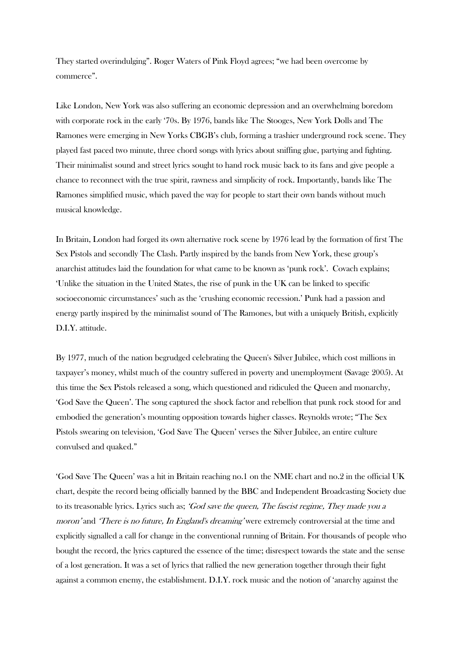They started overindulging". Roger Waters of Pink Floyd agrees; "we had been overcome by commerce".

Like London, New York was also suffering an economic depression and an overwhelming boredom with corporate rock in the early '70s. By 1976, bands like The Stooges, New York Dolls and The Ramones were emerging in New Yorks CBGB's club, forming a trashier underground rock scene. They played fast paced two minute, three chord songs with lyrics about sniffing glue, partying and fighting. Their minimalist sound and street lyrics sought to hand rock music back to its fans and give people a chance to reconnect with the true spirit, rawness and simplicity of rock. Importantly, bands like The Ramones simplified music, which paved the way for people to start their own bands without much musical knowledge.

In Britain, London had forged its own alternative rock scene by 1976 lead by the formation of first The Sex Pistols and secondly The Clash. Partly inspired by the bands from New York, these group's anarchist attitudes laid the foundation for what came to be known as 'punk rock'. Covach explains; 'Unlike the situation in the United States, the rise of punk in the UK can be linked to specific socioeconomic circumstances' such as the 'crushing economic recession.' Punk had a passion and energy partly inspired by the minimalist sound of The Ramones, but with a uniquely British, explicitly D.I.Y. attitude.

By 1977, much of the nation begrudged celebrating the Queen's Silver Jubilee, which cost millions in taxpayer's money, whilst much of the country suffered in poverty and unemployment (Savage 2005). At this time the Sex Pistols released a song, which questioned and ridiculed the Queen and monarchy, 'God Save the Queen'. The song captured the shock factor and rebellion that punk rock stood for and embodied the generation's mounting opposition towards higher classes. Reynolds wrote; "The Sex Pistols swearing on television, 'God Save The Queen' verses the Silver Jubilee, an entire culture convulsed and quaked."

'God Save The Queen' was a hit in Britain reaching no.1 on the NME chart and no.2 in the official UK chart, despite the record being officially banned by the BBC and Independent Broadcasting Society due to its treasonable lyrics. Lyrics such as; 'God save the queen, The fascist regime, They made you a moron' and *There is no future, In England's dreaming*' were extremely controversial at the time and explicitly signalled a call for change in the conventional running of Britain. For thousands of people who bought the record, the lyrics captured the essence of the time; disrespect towards the state and the sense of a lost generation. It was a set of lyrics that rallied the new generation together through their fight against a common enemy, the establishment. D.I.Y. rock music and the notion of 'anarchy against the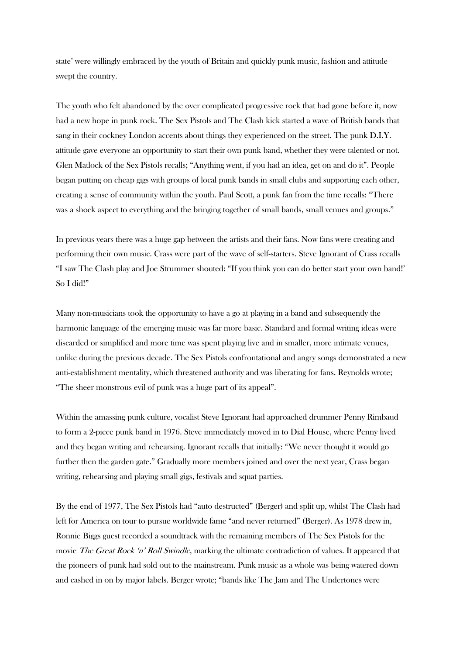state' were willingly embraced by the youth of Britain and quickly punk music, fashion and attitude swept the country.

The youth who felt abandoned by the over complicated progressive rock that had gone before it, now had a new hope in punk rock. The Sex Pistols and The Clash kick started a wave of British bands that sang in their cockney London accents about things they experienced on the street. The punk D.I.Y. attitude gave everyone an opportunity to start their own punk band, whether they were talented or not. Glen Matlock of the Sex Pistols recalls; "Anything went, if you had an idea, get on and do it". People began putting on cheap gigs with groups of local punk bands in small clubs and supporting each other, creating a sense of community within the youth. Paul Scott, a punk fan from the time recalls: "There was a shock aspect to everything and the bringing together of small bands, small venues and groups."

In previous years there was a huge gap between the artists and their fans. Now fans were creating and performing their own music. Crass were part of the wave of self-starters. Steve Ignorant of Crass recalls "I saw The Clash play and Joe Strummer shouted: "If you think you can do better start your own band!' So I did!"

Many non-musicians took the opportunity to have a go at playing in a band and subsequently the harmonic language of the emerging music was far more basic. Standard and formal writing ideas were discarded or simplified and more time was spent playing live and in smaller, more intimate venues, unlike during the previous decade. The Sex Pistols confrontational and angry songs demonstrated a new anti-establishment mentality, which threatened authority and was liberating for fans. Reynolds wrote; "The sheer monstrous evil of punk was a huge part of its appeal".

Within the amassing punk culture, vocalist Steve Ignorant had approached drummer Penny Rimbaud to form a 2-piece punk band in 1976. Steve immediately moved in to Dial House, where Penny lived and they began writing and rehearsing. Ignorant recalls that initially: "We never thought it would go further then the garden gate." Gradually more members joined and over the next year, Crass began writing, rehearsing and playing small gigs, festivals and squat parties.

By the end of 1977, The Sex Pistols had "auto destructed" (Berger) and split up, whilst The Clash had left for America on tour to pursue worldwide fame "and never returned" (Berger). As 1978 drew in, Ronnie Biggs guest recorded a soundtrack with the remaining members of The Sex Pistols for the movie *The Great Rock 'n' Roll Swindle*, marking the ultimate contradiction of values. It appeared that the pioneers of punk had sold out to the mainstream. Punk music as a whole was being watered down and cashed in on by major labels. Berger wrote; "bands like The Jam and The Undertones were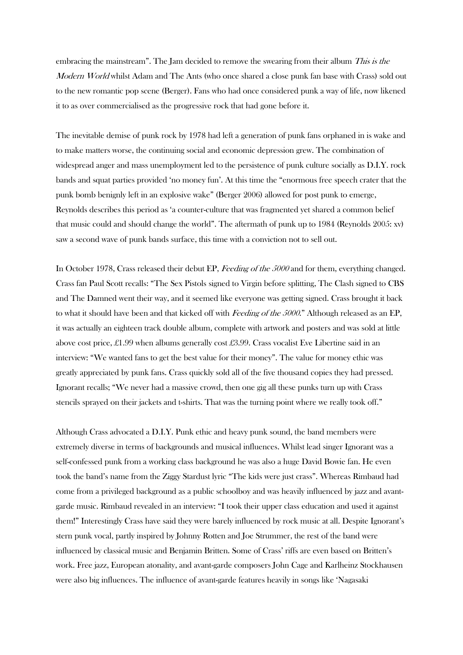embracing the mainstream". The Jam decided to remove the swearing from their album This is the Modern World whilst Adam and The Ants (who once shared a close punk fan base with Crass) sold out to the new romantic pop scene (Berger). Fans who had once considered punk a way of life, now likened it to as over commercialised as the progressive rock that had gone before it.

The inevitable demise of punk rock by 1978 had left a generation of punk fans orphaned in is wake and to make matters worse, the continuing social and economic depression grew. The combination of widespread anger and mass unemployment led to the persistence of punk culture socially as D.I.Y. rock bands and squat parties provided 'no money fun'. At this time the "enormous free speech crater that the punk bomb benignly left in an explosive wake" (Berger 2006) allowed for post punk to emerge, Reynolds describes this period as 'a counter-culture that was fragmented yet shared a common belief that music could and should change the world". The aftermath of punk up to 1984 (Reynolds 2005: xv) saw a second wave of punk bands surface, this time with a conviction not to sell out.

In October 1978, Crass released their debut EP, Feeding of the 5000 and for them, everything changed. Crass fan Paul Scott recalls: "The Sex Pistols signed to Virgin before splitting, The Clash signed to CBS and The Damned went their way, and it seemed like everyone was getting signed. Crass brought it back to what it should have been and that kicked off with Feeding of the 5000." Although released as an EP, it was actually an eighteen track double album, complete with artwork and posters and was sold at little above cost price, £1.99 when albums generally cost £3.99. Crass vocalist Eve Libertine said in an interview: "We wanted fans to get the best value for their money". The value for money ethic was greatly appreciated by punk fans. Crass quickly sold all of the five thousand copies they had pressed. Ignorant recalls; "We never had a massive crowd, then one gig all these punks turn up with Crass stencils sprayed on their jackets and t-shirts. That was the turning point where we really took off."

Although Crass advocated a D.I.Y. Punk ethic and heavy punk sound, the band members were extremely diverse in terms of backgrounds and musical influences. Whilst lead singer Ignorant was a self-confessed punk from a working class background he was also a huge David Bowie fan. He even took the band's name from the Ziggy Stardust lyric "The kids were just crass". Whereas Rimbaud had come from a privileged background as a public schoolboy and was heavily influenced by jazz and avantgarde music. Rimbaud revealed in an interview: "I took their upper class education and used it against them!" Interestingly Crass have said they were barely influenced by rock music at all. Despite Ignorant's stern punk vocal, partly inspired by Johnny Rotten and Joe Strummer, the rest of the band were influenced by classical music and Benjamin Britten. Some of Crass' riffs are even based on Britten's work. Free jazz, European atonality, and avant-garde composers John Cage and Karlheinz Stockhausen were also big influences. The influence of avant-garde features heavily in songs like 'Nagasaki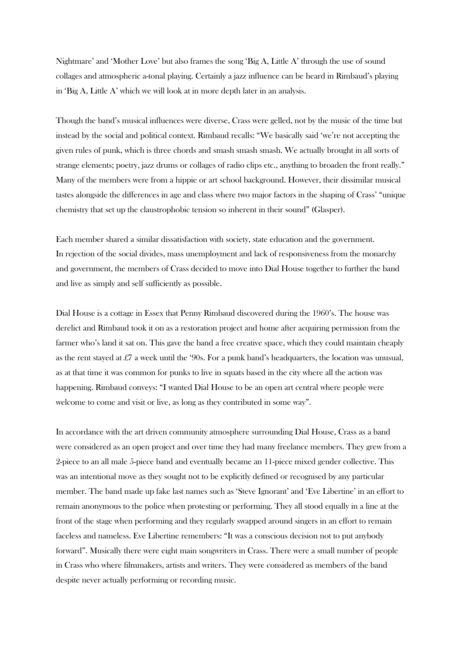Nightmare' and 'Mother Love' but also frames the song 'Big A, Little A' through the use of sound collages and atmospheric a-tonal playing. Certainly a jazz influence can be heard in Rimbaud's playing in 'Big A, Little A' which we will look at in more depth later in an analysis.

Though the band's musical influences were diverse, Crass were gelled, not by the music of the time but instead by the social and political context. Rimbaud recalls: "We basically said 'we're not accepting the given rules of punk, which is three chords and smash smash smash. We actually brought in all sorts of strange elements; poetry, jazz drums or collages of radio clips etc., anything to broaden the front really." Many of the members were from a hippie or art school background. However, their dissimilar musical tastes alongside the differences in age and class where two major factors in the shaping of Crass' "unique chemistry that set up the claustrophobic tension so inherent in their sound" (Glasper).

Each member shared a similar dissatisfaction with society, state education and the government. In rejection of the social divides, mass unemployment and lack of responsiveness from the monarchy and government, the members of Crass decided to move into Dial House together to further the band and live as simply and self sufficiently as possible.

Dial House is a cottage in Essex that Penny Rimbaud discovered during the 1960's. The house was derelict and Rimbaud took it on as a restoration project and home after acquiring permission from the farmer who's land it sat on. This gave the band a free creative space, which they could maintain cheaply as the rent stayed at £7 a week until the '90s. For a punk band's headquarters, the location was unusual, as at that time it was common for punks to live in squats based in the city where all the action was happening. Rimbaud conveys: "I wanted Dial House to be an open art central where people were welcome to come and visit or live, as long as they contributed in some way".

In accordance with the art driven community atmosphere surrounding Dial House, Crass as a band were considered as an open project and over time they had many freelance members. They grew from a 2-piece to an all male 5-piece band and eventually became an 11-piece mixed gender collective. This was an intentional move as they sought not to be explicitly defined or recognised by any particular member. The band made up fake last names such as 'Steve Ignorant' and 'Eve Libertine' in an effort to remain anonymous to the police when protesting or performing. They all stood equally in a line at the front of the stage when performing and they regularly swapped around singers in an effort to remain faceless and nameless. Eve Libertine remembers: "It was a conscious decision not to put anybody forward". Musically there were eight main songwriters in Crass. There were a small number of people in Crass who where filmmakers, artists and writers. They were considered as members of the band despite never actually performing or recording music.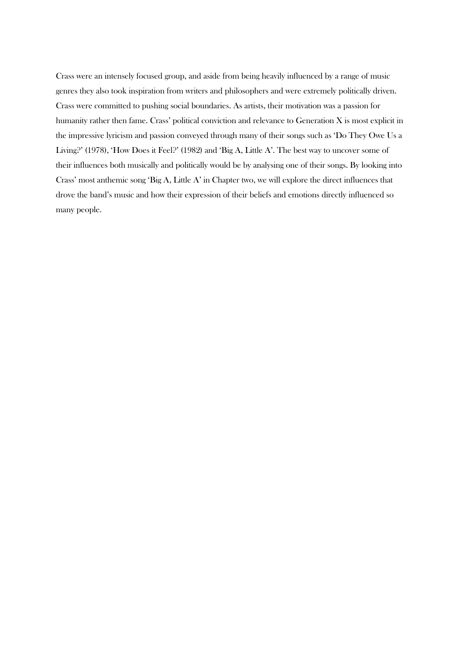Crass were an intensely focused group, and aside from being heavily influenced by a range of music genres they also took inspiration from writers and philosophers and were extremely politically driven. Crass were committed to pushing social boundaries. As artists, their motivation was a passion for humanity rather then fame. Crass' political conviction and relevance to Generation X is most explicit in the impressive lyricism and passion conveyed through many of their songs such as 'Do They Owe Us a Living?' (1978), 'How Does it Feel?' (1982) and 'Big A, Little A'. The best way to uncover some of their influences both musically and politically would be by analysing one of their songs. By looking into Crass' most anthemic song 'Big A, Little A' in Chapter two, we will explore the direct influences that drove the band's music and how their expression of their beliefs and emotions directly influenced so many people.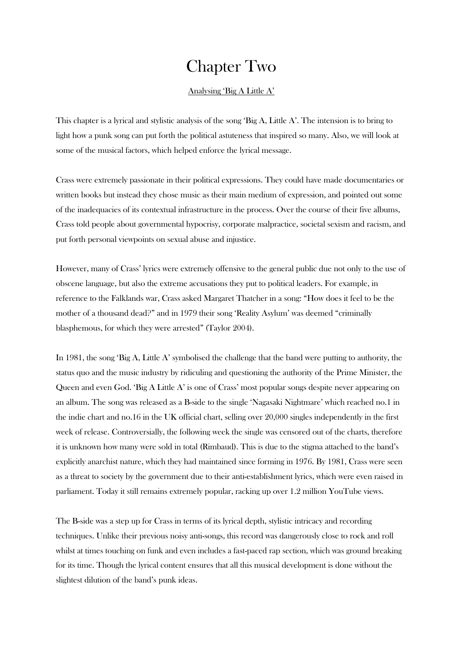## Chapter Two

#### Analysing 'Big A Little A'

This chapter is a lyrical and stylistic analysis of the song 'Big A, Little A'. The intension is to bring to light how a punk song can put forth the political astuteness that inspired so many. Also, we will look at some of the musical factors, which helped enforce the lyrical message.

Crass were extremely passionate in their political expressions. They could have made documentaries or written books but instead they chose music as their main medium of expression, and pointed out some of the inadequacies of its contextual infrastructure in the process. Over the course of their five albums, Crass told people about governmental hypocrisy, corporate malpractice, societal sexism and racism, and put forth personal viewpoints on sexual abuse and injustice.

However, many of Crass' lyrics were extremely offensive to the general public due not only to the use of obscene language, but also the extreme accusations they put to political leaders. For example, in reference to the Falklands war, Crass asked Margaret Thatcher in a song: "How does it feel to be the mother of a thousand dead?" and in 1979 their song 'Reality Asylum' was deemed "criminally blasphemous, for which they were arrested" (Taylor 2004).

In 1981, the song 'Big A, Little A' symbolised the challenge that the band were putting to authority, the status quo and the music industry by ridiculing and questioning the authority of the Prime Minister, the Queen and even God. 'Big A Little A' is one of Crass' most popular songs despite never appearing on an album. The song was released as a B-side to the single 'Nagasaki Nightmare' which reached no.1 in the indie chart and no.16 in the UK official chart, selling over 20,000 singles independently in the first week of release. Controversially, the following week the single was censored out of the charts, therefore it is unknown how many were sold in total (Rimbaud). This is due to the stigma attached to the band's explicitly anarchist nature, which they had maintained since forming in 1976. By 1981, Crass were seen as a threat to society by the government due to their anti-establishment lyrics, which were even raised in parliament. Today it still remains extremely popular, racking up over 1.2 million YouTube views.

The B-side was a step up for Crass in terms of its lyrical depth, stylistic intricacy and recording techniques. Unlike their previous noisy anti-songs, this record was dangerously close to rock and roll whilst at times touching on funk and even includes a fast-paced rap section, which was ground breaking for its time. Though the lyrical content ensures that all this musical development is done without the slightest dilution of the band's punk ideas.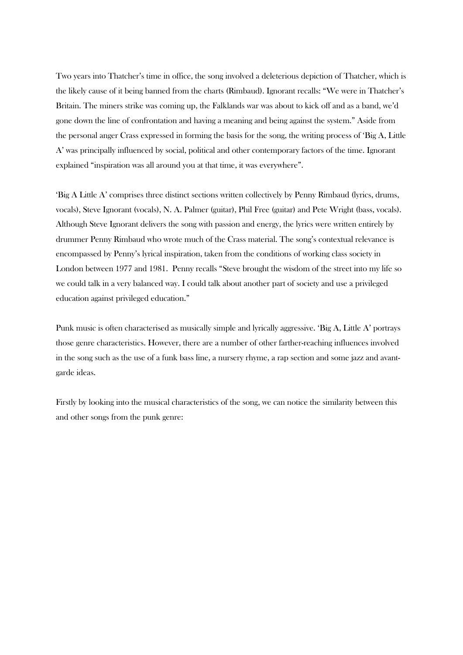Two years into Thatcher's time in office, the song involved a deleterious depiction of Thatcher, which is the likely cause of it being banned from the charts (Rimbaud). Ignorant recalls: "We were in Thatcher's Britain. The miners strike was coming up, the Falklands war was about to kick off and as a band, we'd gone down the line of confrontation and having a meaning and being against the system." Aside from the personal anger Crass expressed in forming the basis for the song, the writing process of 'Big A, Little A' was principally influenced by social, political and other contemporary factors of the time. Ignorant explained "inspiration was all around you at that time, it was everywhere".

'Big A Little A' comprises three distinct sections written collectively by Penny Rimbaud (lyrics, drums, vocals), Steve Ignorant (vocals), N. A. Palmer (guitar), Phil Free (guitar) and Pete Wright (bass, vocals). Although Steve Ignorant delivers the song with passion and energy, the lyrics were written entirely by drummer Penny Rimbaud who wrote much of the Crass material. The song's contextual relevance is encompassed by Penny's lyrical inspiration, taken from the conditions of working class society in London between 1977 and 1981. Penny recalls "Steve brought the wisdom of the street into my life so we could talk in a very balanced way. I could talk about another part of society and use a privileged education against privileged education."

Punk music is often characterised as musically simple and lyrically aggressive. 'Big A, Little A' portrays those genre characteristics. However, there are a number of other farther-reaching influences involved in the song such as the use of a funk bass line, a nursery rhyme, a rap section and some jazz and avantgarde ideas.

Firstly by looking into the musical characteristics of the song, we can notice the similarity between this and other songs from the punk genre: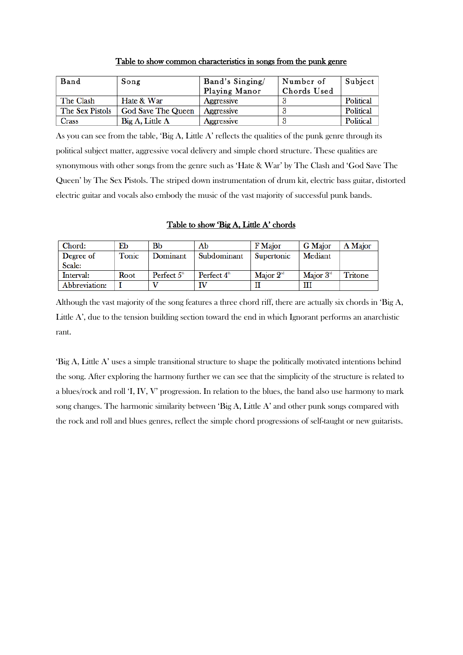| Band            | Song               | Band's Singing/   | Number of   | Subject   |
|-----------------|--------------------|-------------------|-------------|-----------|
|                 |                    | Playing Manor     | Chords Used |           |
| The Clash       | Hate & War         | <b>Aggressive</b> |             | Political |
| The Sex Pistols | God Save The Queen | <b>Aggressive</b> |             | Political |
| Crass           | Big A, Little A    | <b>Aggressive</b> |             | Political |

Table to show common characteristics in songs from the punk genre

As you can see from the table, 'Big A, Little A' reflects the qualities of the punk genre through its political subject matter, aggressive vocal delivery and simple chord structure. These qualities are synonymous with other songs from the genre such as 'Hate & War' by The Clash and 'God Save The Queen' by The Sex Pistols. The striped down instrumentation of drum kit, electric bass guitar, distorted electric guitar and vocals also embody the music of the vast majority of successful punk bands.

Table to show 'Big A, Little A' chords

| Chord:        | Еb    | Bb                      | Ab            | F Major     | G Major     | A Major        |
|---------------|-------|-------------------------|---------------|-------------|-------------|----------------|
| Degree of     | Tonic | Dominant                | Subdominant   | Supertonic  | Mediant     |                |
| <b>Scale:</b> |       |                         |               |             |             |                |
| Interval:     | Root  | Perfect $5^{\text{th}}$ | Perfect $4th$ | Major $2nd$ | Major $3nd$ | <b>Tritone</b> |
| Abbreviation: |       |                         |               |             | ш           |                |

Although the vast majority of the song features a three chord riff, there are actually six chords in 'Big A, Little A', due to the tension building section toward the end in which Ignorant performs an anarchistic rant.

'Big A, Little A' uses a simple transitional structure to shape the politically motivated intentions behind the song. After exploring the harmony further we can see that the simplicity of the structure is related to a blues/rock and roll 'I, IV, V' progression. In relation to the blues, the band also use harmony to mark song changes. The harmonic similarity between 'Big A, Little A' and other punk songs compared with the rock and roll and blues genres, reflect the simple chord progressions of self-taught or new guitarists.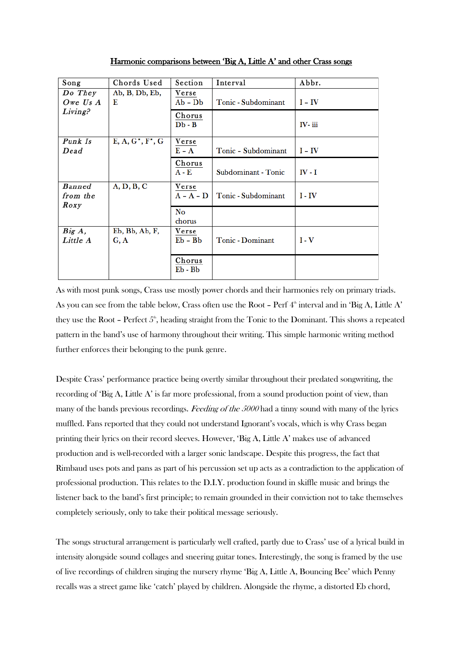| Harmonic comparisons between 'Big A, Little A' and other Crass songs |  |  |  |
|----------------------------------------------------------------------|--|--|--|
|----------------------------------------------------------------------|--|--|--|

| Song                              | Chords Used                      | Section              | Interval            | Abbr.    |
|-----------------------------------|----------------------------------|----------------------|---------------------|----------|
| Do They<br>Owe Us $A$             | Ab, B, Db, Eb,<br>Е              | Verse<br>Ab – Db     | Tonic - Subdominant | $I - IV$ |
| $Living$ ?                        |                                  | Chorus<br>$Db - B$   |                     | IV-iii   |
| Punk Is<br>Dead                   | E, A, $G^*$ , F <sup>*</sup> , G | Verse<br>$E - A$     | Tonic - Subdominant | $I - IV$ |
|                                   |                                  | Chorus<br>A - E      | Subdominant - Tonic | IV - I   |
| <b>Banned</b><br>from the<br>Roxy | A, D, B, C                       | Verse<br>$A - A - D$ | Tonic - Subdominant | $I - IV$ |
|                                   |                                  | No<br>chorus         |                     |          |
| Big A,<br>Little A                | Eb, Bb, Ab, F,<br>G, A           | Verse<br>$Eb - Bb$   | Tonic - Dominant    | $I - V$  |
|                                   |                                  | Chorus<br>Eb - Bb    |                     |          |

As with most punk songs, Crass use mostly power chords and their harmonies rely on primary triads. As you can see from the table below, Crass often use the Root – Perf  $4<sup>th</sup>$  interval and in 'Big A, Little A' they use the Root – Perfect  $5<sup>th</sup>$ , heading straight from the Tonic to the Dominant. This shows a repeated pattern in the band's use of harmony throughout their writing. This simple harmonic writing method further enforces their belonging to the punk genre.

Despite Crass' performance practice being overtly similar throughout their predated songwriting, the recording of 'Big A, Little A' is far more professional, from a sound production point of view, than many of the bands previous recordings. Feeding of the 5000 had a tinny sound with many of the lyrics muffled. Fans reported that they could not understand Ignorant's vocals, which is why Crass began printing their lyrics on their record sleeves. However, 'Big A, Little A' makes use of advanced production and is well-recorded with a larger sonic landscape. Despite this progress, the fact that Rimbaud uses pots and pans as part of his percussion set up acts as a contradiction to the application of professional production. This relates to the D.I.Y. production found in skiffle music and brings the listener back to the band's first principle; to remain grounded in their conviction not to take themselves completely seriously, only to take their political message seriously.

The songs structural arrangement is particularly well crafted, partly due to Crass' use of a lyrical build in intensity alongside sound collages and sneering guitar tones. Interestingly, the song is framed by the use of live recordings of children singing the nursery rhyme 'Big A, Little A, Bouncing Bee' which Penny recalls was a street game like 'catch' played by children. Alongside the rhyme, a distorted Eb chord,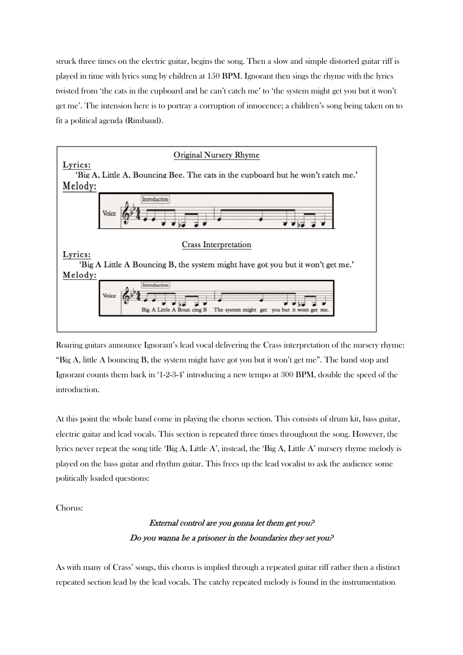struck three times on the electric guitar, begins the song. Then a slow and simple distorted guitar riff is played in time with lyrics sung by children at 150 BPM. Ignorant then sings the rhyme with the lyrics twisted from 'the cats in the cupboard and he can't catch me' to 'the system might get you but it won't get me'. The intension here is to portray a corruption of innocence; a children's song being taken on to fit a political agenda (Rimbaud).



Roaring guitars announce Ignorant's lead vocal delivering the Crass interpretation of the nursery rhyme: "Big A, little A bouncing B, the system might have got you but it won't get me". The band stop and Ignorant counts them back in '1-2-3-4' introducing a new tempo at 300 BPM, double the speed of the introduction.

At this point the whole band come in playing the chorus section. This consists of drum kit, bass guitar, electric guitar and lead vocals. This section is repeated three times throughout the song. However, the lyrics never repeat the song title 'Big A, Little A', instead, the 'Big A, Little A' nursery rhyme melody is played on the bass guitar and rhythm guitar. This frees up the lead vocalist to ask the audience some politically loaded questions:

Chorus:

## External control are you gonna let them get you? Do you wanna be a prisoner in the boundaries they set you?

As with many of Crass' songs, this chorus is implied through a repeated guitar riff rather then a distinct repeated section lead by the lead vocals. The catchy repeated melody is found in the instrumentation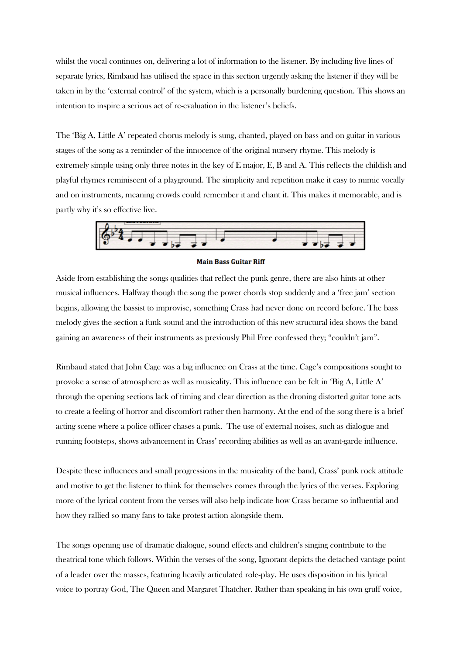whilst the vocal continues on, delivering a lot of information to the listener. By including five lines of separate lyrics, Rimbaud has utilised the space in this section urgently asking the listener if they will be taken in by the 'external control' of the system, which is a personally burdening question. This shows an intention to inspire a serious act of re-evaluation in the listener's beliefs.

The 'Big A, Little A' repeated chorus melody is sung, chanted, played on bass and on guitar in various stages of the song as a reminder of the innocence of the original nursery rhyme. This melody is extremely simple using only three notes in the key of E major, E, B and A. This reflects the childish and playful rhymes reminiscent of a playground. The simplicity and repetition make it easy to mimic vocally and on instruments, meaning crowds could remember it and chant it. This makes it memorable, and is partly why it's so effective live.



#### **Main Bass Guitar Riff**

Aside from establishing the songs qualities that reflect the punk genre, there are also hints at other musical influences. Halfway though the song the power chords stop suddenly and a 'free jam' section begins, allowing the bassist to improvise, something Crass had never done on record before. The bass melody gives the section a funk sound and the introduction of this new structural idea shows the band gaining an awareness of their instruments as previously Phil Free confessed they; "couldn't jam".

Rimbaud stated that John Cage was a big influence on Crass at the time. Cage's compositions sought to provoke a sense of atmosphere as well as musicality. This influence can be felt in 'Big A, Little A' through the opening sections lack of timing and clear direction as the droning distorted guitar tone acts to create a feeling of horror and discomfort rather then harmony. At the end of the song there is a brief acting scene where a police officer chases a punk. The use of external noises, such as dialogue and running footsteps, shows advancement in Crass' recording abilities as well as an avant-garde influence.

Despite these influences and small progressions in the musicality of the band, Crass' punk rock attitude and motive to get the listener to think for themselves comes through the lyrics of the verses. Exploring more of the lyrical content from the verses will also help indicate how Crass became so influential and how they rallied so many fans to take protest action alongside them.

The songs opening use of dramatic dialogue, sound effects and children's singing contribute to the theatrical tone which follows. Within the verses of the song, Ignorant depicts the detached vantage point of a leader over the masses, featuring heavily articulated role-play. He uses disposition in his lyrical voice to portray God, The Queen and Margaret Thatcher. Rather than speaking in his own gruff voice,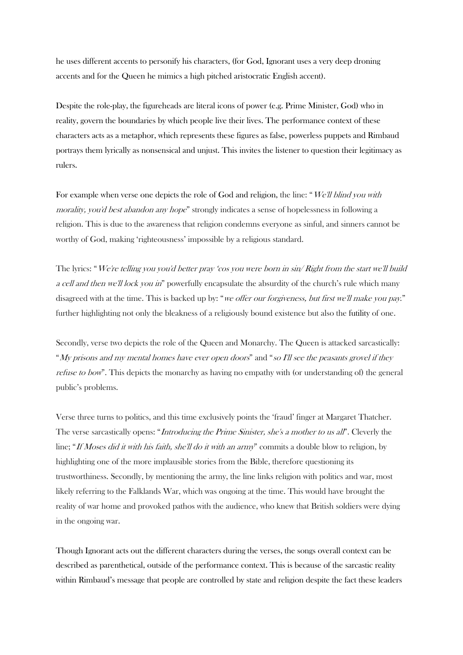he uses different accents to personify his characters, (for God, Ignorant uses a very deep droning accents and for the Queen he mimics a high pitched aristocratic English accent).

Despite the role-play, the figureheads are literal icons of power (e.g. Prime Minister, God) who in reality, govern the boundaries by which people live their lives. The performance context of these characters acts as a metaphor, which represents these figures as false, powerless puppets and Rimbaud portrays them lyrically as nonsensical and unjust. This invites the listener to question their legitimacy as rulers.

For example when verse one depicts the role of God and religion, the line: "We'll blind you with morality, you'd best abandon any hope" strongly indicates a sense of hopelessness in following a religion. This is due to the awareness that religion condemns everyone as sinful, and sinners cannot be worthy of God, making 'righteousness' impossible by a religious standard.

The lyrics: "We're telling you you'd better pray 'cos you were born in sin/ Right from the start we'll build a cell and then we'll lock you in" powerfully encapsulate the absurdity of the church's rule which many disagreed with at the time. This is backed up by: "we offer our forgiveness, but first we'll make you pay." further highlighting not only the bleakness of a religiously bound existence but also the futility of one.

Secondly, verse two depicts the role of the Queen and Monarchy. The Queen is attacked sarcastically: "My prisons and my mental homes have ever open doors" and "so I'll see the peasants grovel if they refuse to bow". This depicts the monarchy as having no empathy with (or understanding of) the general public's problems.

Verse three turns to politics, and this time exclusively points the 'fraud' finger at Margaret Thatcher. The verse sarcastically opens: "Introducing the Prime Sinister, she's a mother to us all". Cleverly the line; "If Moses did it with his faith, she'll do it with an army" commits a double blow to religion, by highlighting one of the more implausible stories from the Bible, therefore questioning its trustworthiness. Secondly, by mentioning the army, the line links religion with politics and war, most likely referring to the Falklands War, which was ongoing at the time. This would have brought the reality of war home and provoked pathos with the audience, who knew that British soldiers were dying in the ongoing war.

Though Ignorant acts out the different characters during the verses, the songs overall context can be described as parenthetical, outside of the performance context. This is because of the sarcastic reality within Rimbaud's message that people are controlled by state and religion despite the fact these leaders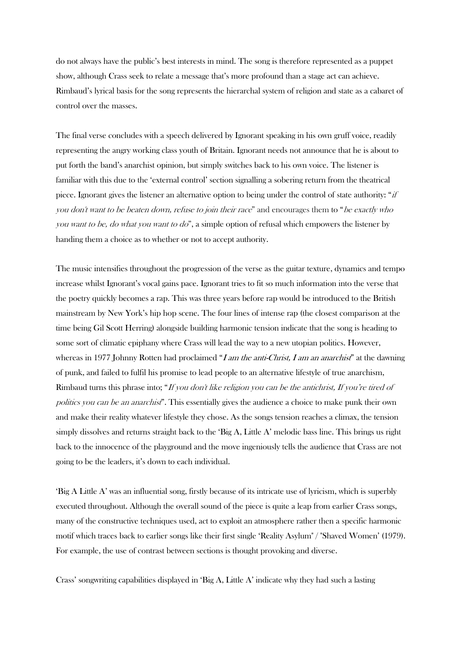do not always have the public's best interests in mind. The song is therefore represented as a puppet show, although Crass seek to relate a message that's more profound than a stage act can achieve. Rimbaud's lyrical basis for the song represents the hierarchal system of religion and state as a cabaret of control over the masses.

The final verse concludes with a speech delivered by Ignorant speaking in his own gruff voice, readily representing the angry working class youth of Britain. Ignorant needs not announce that he is about to put forth the band's anarchist opinion, but simply switches back to his own voice. The listener is familiar with this due to the 'external control' section signalling a sobering return from the theatrical piece. Ignorant gives the listener an alternative option to being under the control of state authority: "if you don't want to be beaten down, refuse to join their race" and encourages them to "be exactly who you want to be, do what you want to do", a simple option of refusal which empowers the listener by handing them a choice as to whether or not to accept authority.

The music intensifies throughout the progression of the verse as the guitar texture, dynamics and tempo increase whilst Ignorant's vocal gains pace. Ignorant tries to fit so much information into the verse that the poetry quickly becomes a rap. This was three years before rap would be introduced to the British mainstream by New York's hip hop scene. The four lines of intense rap (the closest comparison at the time being Gil Scott Herring) alongside building harmonic tension indicate that the song is heading to some sort of climatic epiphany where Crass will lead the way to a new utopian politics. However, whereas in 1977 Johnny Rotten had proclaimed "I am the anti-Christ, I am an anarchist" at the dawning of punk, and failed to fulfil his promise to lead people to an alternative lifestyle of true anarchism, Rimbaud turns this phrase into; "If you don't like religion you can be the antichrist, If you're tired of politics you can be an anarchist". This essentially gives the audience a choice to make punk their own and make their reality whatever lifestyle they chose. As the songs tension reaches a climax, the tension simply dissolves and returns straight back to the 'Big A, Little A' melodic bass line. This brings us right back to the innocence of the playground and the move ingeniously tells the audience that Crass are not going to be the leaders, it's down to each individual.

'Big A Little A' was an influential song, firstly because of its intricate use of lyricism, which is superbly executed throughout. Although the overall sound of the piece is quite a leap from earlier Crass songs, many of the constructive techniques used, act to exploit an atmosphere rather then a specific harmonic motif which traces back to earlier songs like their first single 'Reality Asylum" / "Shaved Women' (1979). For example, the use of contrast between sections is thought provoking and diverse.

Crass' songwriting capabilities displayed in 'Big A, Little A' indicate why they had such a lasting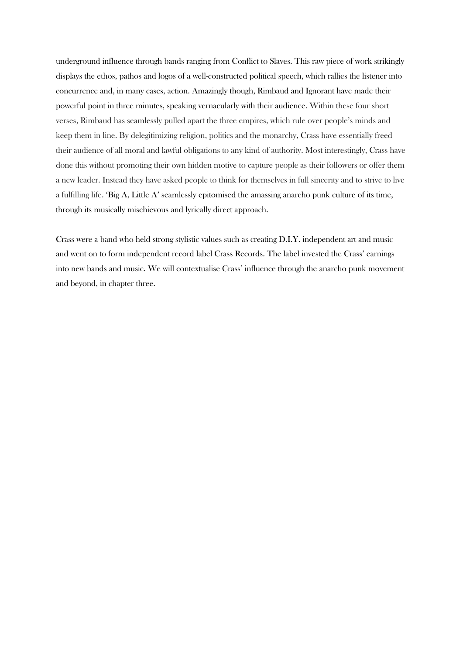underground influence through bands ranging from Conflict to Slaves. This raw piece of work strikingly displays the ethos, pathos and logos of a well-constructed political speech, which rallies the listener into concurrence and, in many cases, action. Amazingly though, Rimbaud and Ignorant have made their powerful point in three minutes, speaking vernacularly with their audience. Within these four short verses, Rimbaud has seamlessly pulled apart the three empires, which rule over people's minds and keep them in line. By delegitimizing religion, politics and the monarchy, Crass have essentially freed their audience of all moral and lawful obligations to any kind of authority. Most interestingly, Crass have done this without promoting their own hidden motive to capture people as their followers or offer them a new leader. Instead they have asked people to think for themselves in full sincerity and to strive to live a fulfilling life. 'Big A, Little A' seamlessly epitomised the amassing anarcho punk culture of its time, through its musically mischievous and lyrically direct approach.

Crass were a band who held strong stylistic values such as creating D.I.Y. independent art and music and went on to form independent record label Crass Records. The label invested the Crass' earnings into new bands and music. We will contextualise Crass' influence through the anarcho punk movement and beyond, in chapter three.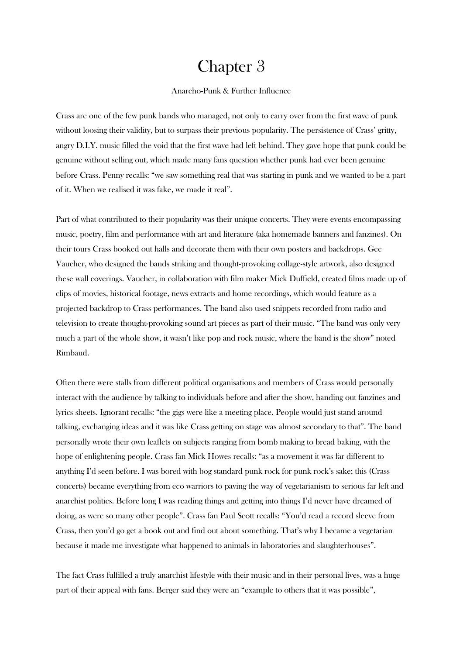## Chapter 3

#### Anarcho-Punk & Further Influence

Crass are one of the few punk bands who managed, not only to carry over from the first wave of punk without loosing their validity, but to surpass their previous popularity. The persistence of Crass' gritty, angry D.I.Y. music filled the void that the first wave had left behind. They gave hope that punk could be genuine without selling out, which made many fans question whether punk had ever been genuine before Crass. Penny recalls: "we saw something real that was starting in punk and we wanted to be a part of it. When we realised it was fake, we made it real".

Part of what contributed to their popularity was their unique concerts. They were events encompassing music, poetry, film and performance with art and literature (aka homemade banners and fanzines). On their tours Crass booked out halls and decorate them with their own posters and backdrops. Gee Vaucher, who designed the bands striking and thought-provoking collage-style artwork, also designed these wall coverings. Vaucher, in collaboration with film maker Mick Duffield, created films made up of clips of movies, historical footage, news extracts and home recordings, which would feature as a projected backdrop to Crass performances. The band also used snippets recorded from radio and television to create thought-provoking sound art pieces as part of their music. "The band was only very much a part of the whole show, it wasn't like pop and rock music, where the band is the show" noted Rimbaud.

Often there were stalls from different political organisations and members of Crass would personally interact with the audience by talking to individuals before and after the show, handing out fanzines and lyrics sheets. Ignorant recalls: "the gigs were like a meeting place. People would just stand around talking, exchanging ideas and it was like Crass getting on stage was almost secondary to that". The band personally wrote their own leaflets on subjects ranging from bomb making to bread baking, with the hope of enlightening people. Crass fan Mick Howes recalls: "as a movement it was far different to anything I'd seen before. I was bored with bog standard punk rock for punk rock's sake; this (Crass concerts) became everything from eco warriors to paving the way of vegetarianism to serious far left and anarchist politics. Before long I was reading things and getting into things I'd never have dreamed of doing, as were so many other people". Crass fan Paul Scott recalls: "You'd read a record sleeve from Crass, then you'd go get a book out and find out about something. That's why I became a vegetarian because it made me investigate what happened to animals in laboratories and slaughterhouses".

The fact Crass fulfilled a truly anarchist lifestyle with their music and in their personal lives, was a huge part of their appeal with fans. Berger said they were an "example to others that it was possible",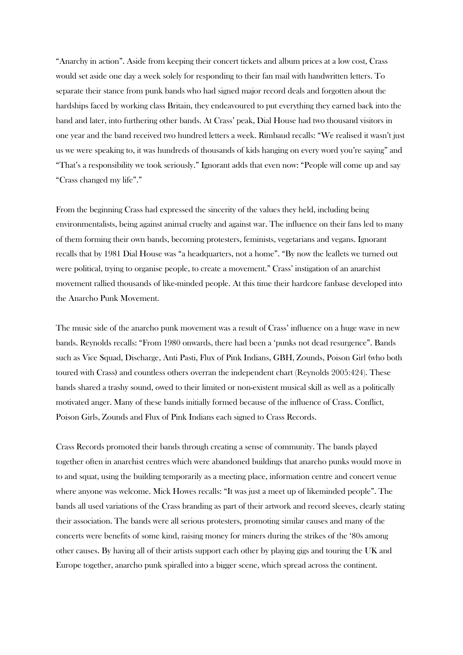"Anarchy in action". Aside from keeping their concert tickets and album prices at a low cost, Crass would set aside one day a week solely for responding to their fan mail with handwritten letters. To separate their stance from punk bands who had signed major record deals and forgotten about the hardships faced by working class Britain, they endeavoured to put everything they earned back into the band and later, into furthering other bands. At Crass' peak, Dial House had two thousand visitors in one year and the band received two hundred letters a week. Rimbaud recalls: "We realised it wasn't just us we were speaking to, it was hundreds of thousands of kids hanging on every word you're saying" and "That's a responsibility we took seriously." Ignorant adds that even now: "People will come up and say "Crass changed my life"."

From the beginning Crass had expressed the sincerity of the values they held, including being environmentalists, being against animal cruelty and against war. The influence on their fans led to many of them forming their own bands, becoming protesters, feminists, vegetarians and vegans. Ignorant recalls that by 1981 Dial House was "a headquarters, not a home". "By now the leaflets we turned out were political, trying to organise people, to create a movement." Crass' instigation of an anarchist movement rallied thousands of like-minded people. At this time their hardcore fanbase developed into the Anarcho Punk Movement.

The music side of the anarcho punk movement was a result of Crass' influence on a huge wave in new bands. Reynolds recalls: "From 1980 onwards, there had been a 'punks not dead resurgence". Bands such as Vice Squad, Discharge, Anti Pasti, Flux of Pink Indians, GBH, Zounds, Poison Girl (who both toured with Crass) and countless others overran the independent chart (Reynolds 2005:424). These bands shared a trashy sound, owed to their limited or non-existent musical skill as well as a politically motivated anger. Many of these bands initially formed because of the influence of Crass. Conflict, Poison Girls, Zounds and Flux of Pink Indians each signed to Crass Records.

Crass Records promoted their bands through creating a sense of community. The bands played together often in anarchist centres which were abandoned buildings that anarcho punks would move in to and squat, using the building temporarily as a meeting place, information centre and concert venue where anyone was welcome. Mick Howes recalls: "It was just a meet up of likeminded people". The bands all used variations of the Crass branding as part of their artwork and record sleeves, clearly stating their association. The bands were all serious protesters, promoting similar causes and many of the concerts were benefits of some kind, raising money for miners during the strikes of the '80s among other causes. By having all of their artists support each other by playing gigs and touring the UK and Europe together, anarcho punk spiralled into a bigger scene, which spread across the continent.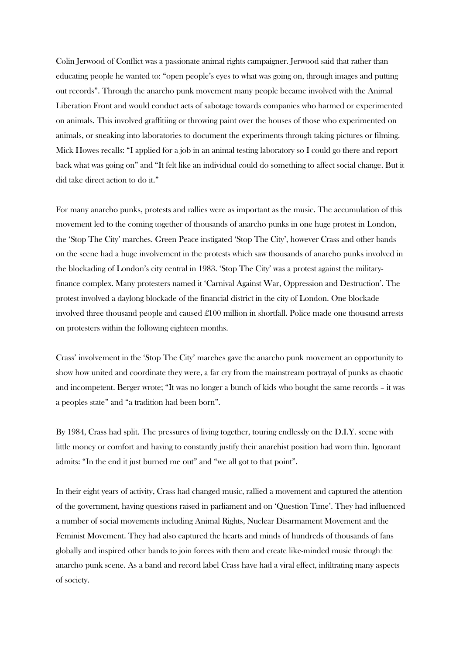Colin Jerwood of Conflict was a passionate animal rights campaigner. Jerwood said that rather than educating people he wanted to: "open people's eyes to what was going on, through images and putting out records". Through the anarcho punk movement many people became involved with the Animal Liberation Front and would conduct acts of sabotage towards companies who harmed or experimented on animals. This involved graffitiing or throwing paint over the houses of those who experimented on animals, or sneaking into laboratories to document the experiments through taking pictures or filming. Mick Howes recalls: "I applied for a job in an animal testing laboratory so I could go there and report back what was going on" and "It felt like an individual could do something to affect social change. But it did take direct action to do it."

For many anarcho punks, protests and rallies were as important as the music. The accumulation of this movement led to the coming together of thousands of anarcho punks in one huge protest in London, the 'Stop The City' marches. Green Peace instigated 'Stop The City', however Crass and other bands on the scene had a huge involvement in the protests which saw thousands of anarcho punks involved in the blockading of London's city central in 1983. 'Stop The City' was a protest against the militaryfinance complex. Many protesters named it 'Carnival Against War, Oppression and Destruction'. The protest involved a daylong blockade of the financial district in the city of London. One blockade involved three thousand people and caused £100 million in shortfall. Police made one thousand arrests on protesters within the following eighteen months.

Crass' involvement in the 'Stop The City' marches gave the anarcho punk movement an opportunity to show how united and coordinate they were, a far cry from the mainstream portrayal of punks as chaotic and incompetent. Berger wrote; "It was no longer a bunch of kids who bought the same records – it was a peoples state" and "a tradition had been born".

By 1984, Crass had split. The pressures of living together, touring endlessly on the D.I.Y. scene with little money or comfort and having to constantly justify their anarchist position had worn thin. Ignorant admits: "In the end it just burned me out" and "we all got to that point".

In their eight years of activity, Crass had changed music, rallied a movement and captured the attention of the government, having questions raised in parliament and on 'Question Time'. They had influenced a number of social movements including Animal Rights, Nuclear Disarmament Movement and the Feminist Movement. They had also captured the hearts and minds of hundreds of thousands of fans globally and inspired other bands to join forces with them and create like-minded music through the anarcho punk scene. As a band and record label Crass have had a viral effect, infiltrating many aspects of society.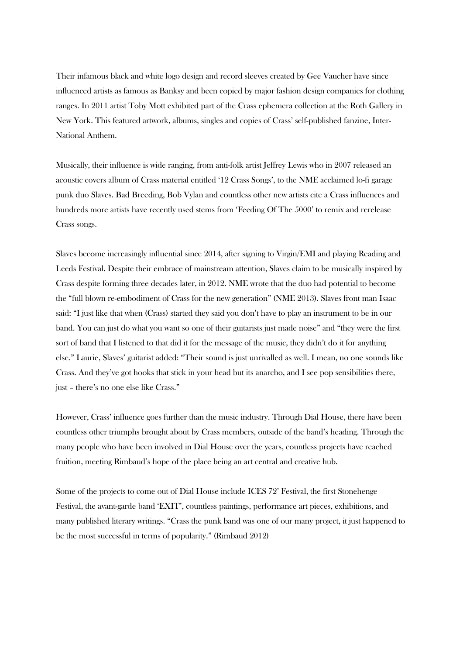Their infamous black and white logo design and record sleeves created by Gee Vaucher have since influenced artists as famous as Banksy and been copied by major fashion design companies for clothing ranges. In 2011 artist Toby Mott exhibited part of the Crass ephemera collection at the Roth Gallery in New York. This featured artwork, albums, singles and copies of Crass' self-published fanzine, Inter-National Anthem.

Musically, their influence is wide ranging, from anti-folk artist Jeffrey Lewis who in 2007 released an acoustic covers album of Crass material entitled '12 Crass Songs', to the NME acclaimed lo-fi garage punk duo Slaves. Bad Breeding, Bob Vylan and countless other new artists cite a Crass influences and hundreds more artists have recently used stems from 'Feeding Of The 5000' to remix and rerelease Crass songs.

Slaves become increasingly influential since 2014, after signing to Virgin/EMI and playing Reading and Leeds Festival. Despite their embrace of mainstream attention, Slaves claim to be musically inspired by Crass despite forming three decades later, in 2012. NME wrote that the duo had potential to become the "full blown re-embodiment of Crass for the new generation" (NME 2013). Slaves front man Isaac said: "I just like that when (Crass) started they said you don't have to play an instrument to be in our band. You can just do what you want so one of their guitarists just made noise" and "they were the first sort of band that I listened to that did it for the message of the music, they didn't do it for anything else." Laurie, Slaves' guitarist added: "Their sound is just unrivalled as well. I mean, no one sounds like Crass. And they've got hooks that stick in your head but its anarcho, and I see pop sensibilities there, just – there's no one else like Crass."

However, Crass' influence goes further than the music industry. Through Dial House, there have been countless other triumphs brought about by Crass members, outside of the band's heading. Through the many people who have been involved in Dial House over the years, countless projects have reached fruition, meeting Rimbaud's hope of the place being an art central and creative hub.

Some of the projects to come out of Dial House include ICES 72' Festival, the first Stonehenge Festival, the avant-garde band 'EXIT', countless paintings, performance art pieces, exhibitions, and many published literary writings. "Crass the punk band was one of our many project, it just happened to be the most successful in terms of popularity." (Rimbaud 2012)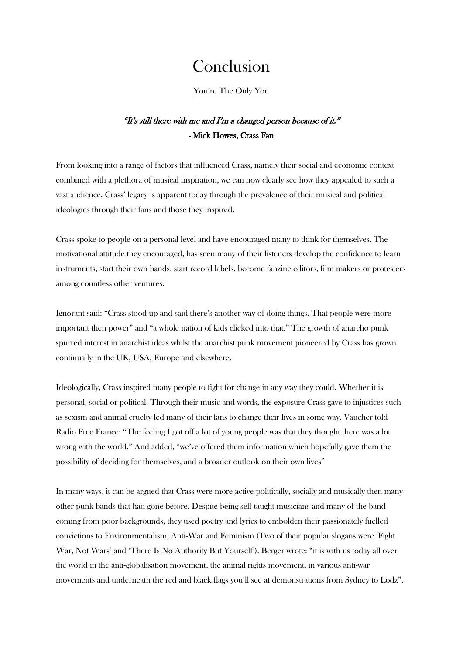## Conclusion

#### You're The Only You

## "It's still there with me and I'm a changed person because of it." - Mick Howes, Crass Fan

From looking into a range of factors that influenced Crass, namely their social and economic context combined with a plethora of musical inspiration, we can now clearly see how they appealed to such a vast audience. Crass' legacy is apparent today through the prevalence of their musical and political ideologies through their fans and those they inspired.

Crass spoke to people on a personal level and have encouraged many to think for themselves. The motivational attitude they encouraged, has seen many of their listeners develop the confidence to learn instruments, start their own bands, start record labels, become fanzine editors, film makers or protesters among countless other ventures.

Ignorant said: "Crass stood up and said there's another way of doing things. That people were more important then power" and "a whole nation of kids clicked into that." The growth of anarcho punk spurred interest in anarchist ideas whilst the anarchist punk movement pioneered by Crass has grown continually in the UK, USA, Europe and elsewhere.

Ideologically, Crass inspired many people to fight for change in any way they could. Whether it is personal, social or political. Through their music and words, the exposure Crass gave to injustices such as sexism and animal cruelty led many of their fans to change their lives in some way. Vaucher told Radio Free France: "The feeling I got off a lot of young people was that they thought there was a lot wrong with the world." And added, "we've offered them information which hopefully gave them the possibility of deciding for themselves, and a broader outlook on their own lives"

In many ways, it can be argued that Crass were more active politically, socially and musically then many other punk bands that had gone before. Despite being self taught musicians and many of the band coming from poor backgrounds, they used poetry and lyrics to embolden their passionately fuelled convictions to Environmentalism, Anti-War and Feminism (Two of their popular slogans were 'Fight War, Not Wars' and 'There Is No Authority But Yourself'). Berger wrote: "it is with us today all over the world in the anti-globalisation movement, the animal rights movement, in various anti-war movements and underneath the red and black flags you'll see at demonstrations from Sydney to Lodz".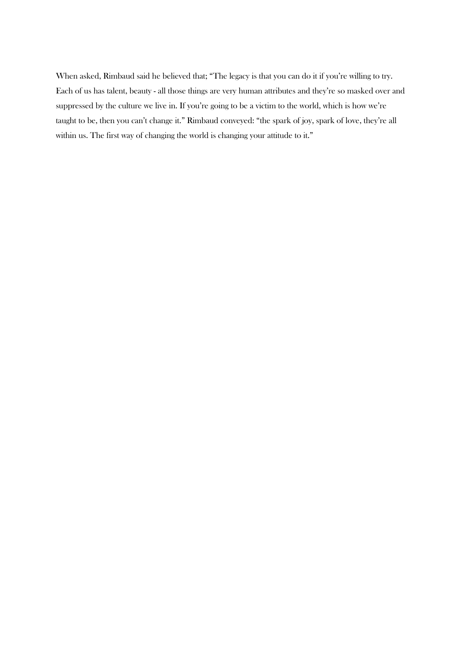When asked, Rimbaud said he believed that; "The legacy is that you can do it if you're willing to try. Each of us has talent, beauty - all those things are very human attributes and they're so masked over and suppressed by the culture we live in. If you're going to be a victim to the world, which is how we're taught to be, then you can't change it." Rimbaud conveyed: "the spark of joy, spark of love, they're all within us. The first way of changing the world is changing your attitude to it."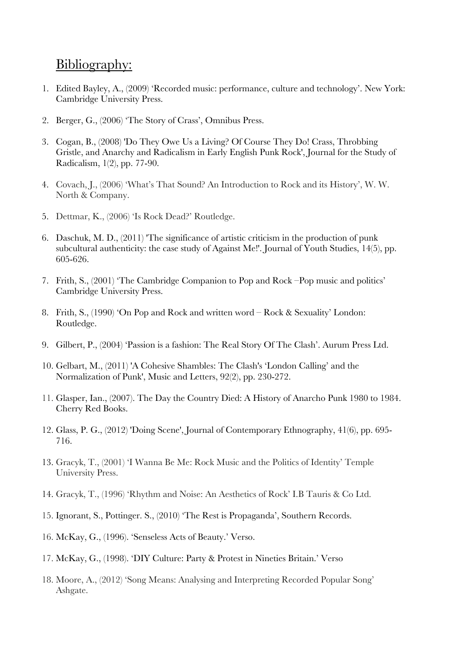## Bibliography:

- 1. Edited Bayley, A., (2009) 'Recorded music: performance, culture and technology'. New York: Cambridge University Press.
- 2. Berger, G., (2006) 'The Story of Crass', Omnibus Press.
- 3. Cogan, B., (2008) 'Do They Owe Us a Living? Of Course They Do! Crass, Throbbing Gristle, and Anarchy and Radicalism in Early English Punk Rock', Journal for the Study of Radicalism, 1(2), pp. 77-90.
- 4. Covach, J., (2006) 'What's That Sound? An Introduction to Rock and its History', W. W. North & Company.
- 5. Dettmar, K., (2006) 'Is Rock Dead?' Routledge.
- 6. Daschuk, M. D., (2011) 'The significance of artistic criticism in the production of punk subcultural authenticity: the case study of Against Me!'. Journal of Youth Studies, 14(5), pp. 605-626.
- 7. Frith, S., (2001) 'The Cambridge Companion to Pop and Rock –Pop music and politics' Cambridge University Press.
- 8. Frith, S., (1990) 'On Pop and Rock and written word Rock & Sexuality' London: Routledge.
- 9. Gilbert, P., (2004) 'Passion is a fashion: The Real Story Of The Clash'. Aurum Press Ltd.
- 10. Gelbart, M., (2011) 'A Cohesive Shambles: The Clash's 'London Calling' and the Normalization of Punk', Music and Letters, 92(2), pp. 230-272.
- 11. Glasper, Ian., (2007). The Day the Country Died: A History of Anarcho Punk 1980 to 1984. Cherry Red Books.
- 12. Glass, P. G., (2012) 'Doing Scene', Journal of Contemporary Ethnography, 41(6), pp. 695- 716.
- 13. Gracyk, T., (2001) 'I Wanna Be Me: Rock Music and the Politics of Identity' Temple University Press.
- 14. Gracyk, T., (1996) 'Rhythm and Noise: An Aesthetics of Rock' I.B Tauris & Co Ltd.
- 15. Ignorant, S., Pottinger. S., (2010) 'The Rest is Propaganda', Southern Records.
- 16. McKay, G., (1996). 'Senseless Acts of Beauty.' Verso.
- 17. McKay, G., (1998). 'DIY Culture: Party & Protest in Nineties Britain.' Verso
- 18. Moore, A., (2012) 'Song Means: Analysing and Interpreting Recorded Popular Song' Ashgate.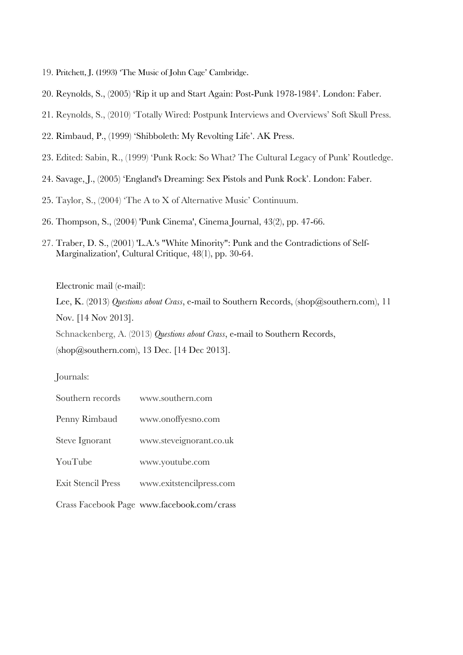- 19. Pritchett, J. (1993) 'The Music of John Cage' Cambridge.
- 20. Reynolds, S., (2005) 'Rip it up and Start Again: Post-Punk 1978-1984'. London: Faber.
- 21. Reynolds, S., (2010) 'Totally Wired: Postpunk Interviews and Overviews' Soft Skull Press.
- 22. Rimbaud, P., (1999) 'Shibboleth: My Revolting Life'. AK Press.
- 23. Edited: Sabin, R., (1999) 'Punk Rock: So What? The Cultural Legacy of Punk' Routledge.
- 24. Savage, J., (2005) 'England's Dreaming: Sex Pistols and Punk Rock'. London: Faber.
- 25. Taylor, S., (2004) 'The A to X of Alternative Music' Continuum.
- 26. Thompson, S., (2004) 'Punk Cinema', Cinema Journal, 43(2), pp. 47-66.
- 27. Traber, D. S., (2001) 'L.A.'s "White Minority": Punk and the Contradictions of Self-Marginalization', Cultural Critique, 48(1), pp. 30-64.

Electronic mail (e-mail):

Lee, K. (2013) *Questions about Crass*, e-mail to Southern Records, (shop@southern.com), 11 Nov. [14 Nov 2013]. Schnackenberg, A. (2013) *Questions about Crass*, e-mail to Southern Records,

(shop@southern.com), 13 Dec. [14 Dec 2013].

Journals:

Southern records www.southern.com Penny Rimbaud www.onoffyesno.com Steve Ignorant www.steveignorant.co.uk YouTube www.youtube.com Exit Stencil Press www.exitstencilpress.com Crass Facebook Page www.facebook.com/crass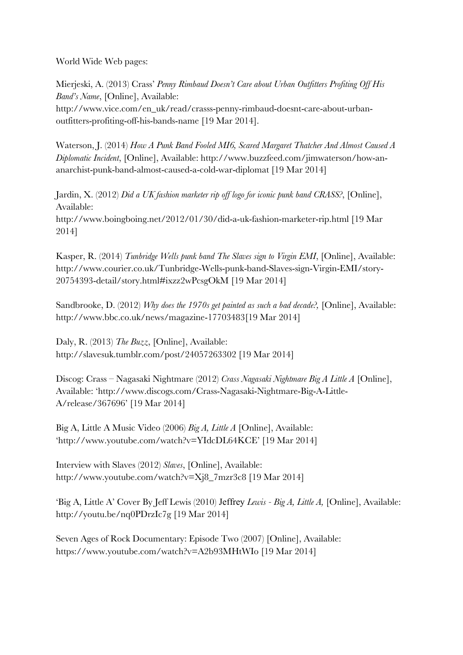World Wide Web pages:

Mierjeski, A. (2013) Crass' *Penny Rimbaud Doesn't Care about Urban Outfitters Profiting Off His Band's Name*, [Online], Available: http://www.vice.com/en\_uk/read/crasss-penny-rimbaud-doesnt-care-about-urbanoutfitters-profiting-off-his-bands-name [19 Mar 2014].

Waterson, J. (2014) *How A Punk Band Fooled MI6, Scared Margaret Thatcher And Almost Caused A Diplomatic Incident*, [Online], Available: http://www.buzzfeed.com/jimwaterson/how-ananarchist-punk-band-almost-caused-a-cold-war-diplomat [19 Mar 2014]

Jardin, X. (2012) *Did a UK fashion marketer rip off logo for iconic punk band CRASS?*, [Online], Available: http://www.boingboing.net/2012/01/30/did-a-uk-fashion-marketer-rip.html [19 Mar 2014]

Kasper, R. (2014) *Tunbridge Wells punk band The Slaves sign to Virgin EMI*, [Online], Available: http://www.courier.co.uk/Tunbridge-Wells-punk-band-Slaves-sign-Virgin-EMI/story-20754393-detail/story.html#ixzz2wPcsgOkM [19 Mar 2014]

Sandbrooke, D. (2012) *Why does the 1970s get painted as such a bad decade?,* [Online], Available: http://www.bbc.co.uk/news/magazine-17703483[19 Mar 2014]

Daly, R. (2013) *The Buzz*, [Online], Available: http://slavesuk.tumblr.com/post/24057263302 [19 Mar 2014]

Discog: Crass – Nagasaki Nightmare (2012) *Crass Nagasaki Nightmare Big A Little A* [Online], Available: 'http://www.discogs.com/Crass-Nagasaki-Nightmare-Big-A-Little-A/release/367696' [19 Mar 2014]

Big A, Little A Music Video (2006) *Big A, Little A* [Online], Available: 'http://www.youtube.com/watch?v=YIdcDL64KCE' [19 Mar 2014]

Interview with Slaves (2012) *Slaves*, [Online], Available: http://www.youtube.com/watch?v=Xj8\_7mzr3c8 [19 Mar 2014]

'Big A, Little A' Cover By Jeff Lewis (2010) Jeffrey *Lewis - Big A, Little A,* [Online], Available: http://youtu.be/nq0PDrzIc7g [19 Mar 2014]

Seven Ages of Rock Documentary: Episode Two (2007) [Online], Available: https://www.youtube.com/watch?v=A2b93MHtWIo [19 Mar 2014]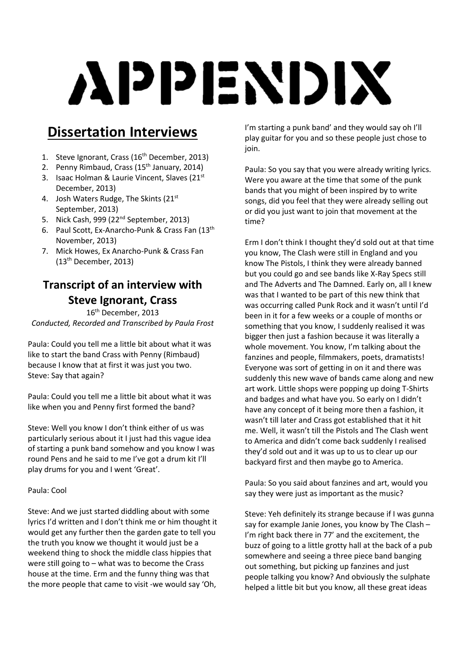# APPENDIX

## **Dissertation Interviews**

- 1. Steve Ignorant, Crass (16<sup>th</sup> December, 2013)
- 2. Penny Rimbaud, Crass (15<sup>th</sup> January, 2014)
- 3. Isaac Holman & Laurie Vincent, Slaves (21st December, 2013)
- 4. Josh Waters Rudge, The Skints (21st September, 2013)
- 5. Nick Cash, 999 (22<sup>nd</sup> September, 2013)
- 6. Paul Scott, Ex-Anarcho-Punk & Crass Fan (13th November, 2013)
- 7. Mick Howes, Ex Anarcho-Punk & Crass Fan  $(13<sup>th</sup> December, 2013)$

## **Transcript of an interview with Steve Ignorant, Crass**

16<sup>th</sup> December, 2013 *Conducted, Recorded and Transcribed by Paula Frost*

Paula: Could you tell me a little bit about what it was like to start the band Crass with Penny (Rimbaud) because I know that at first it was just you two. Steve: Say that again?

Paula: Could you tell me a little bit about what it was like when you and Penny first formed the band?

Steve: Well you know I don't think either of us was particularly serious about it I just had this vague idea of starting a punk band somehow and you know I was round Pens and he said to me I've got a drum kit I'll play drums for you and I went 'Great'.

### Paula: Cool

Steve: And we just started diddling about with some lyrics I'd written and I don't think me or him thought it would get any further then the garden gate to tell you the truth you know we thought it would just be a weekend thing to shock the middle class hippies that were still going to – what was to become the Crass house at the time. Erm and the funny thing was that the more people that came to visit -we would say 'Oh,

I'm starting a punk band' and they would say oh I'll play guitar for you and so these people just chose to join.

Paula: So you say that you were already writing lyrics. Were you aware at the time that some of the punk bands that you might of been inspired by to write songs, did you feel that they were already selling out or did you just want to join that movement at the time?

Erm I don't think I thought they'd sold out at that time you know, The Clash were still in England and you know The Pistols, I think they were already banned but you could go and see bands like X-Ray Specs still and The Adverts and The Damned. Early on, all I knew was that I wanted to be part of this new think that was occurring called Punk Rock and it wasn't until I'd been in it for a few weeks or a couple of months or something that you know, I suddenly realised it was bigger then just a fashion because it was literally a whole movement. You know, I'm talking about the fanzines and people, filmmakers, poets, dramatists! Everyone was sort of getting in on it and there was suddenly this new wave of bands came along and new art work. Little shops were popping up doing T-Shirts and badges and what have you. So early on I didn't have any concept of it being more then a fashion, it wasn't till later and Crass got established that it hit me. Well, it wasn't till the Pistols and The Clash went to America and didn't come back suddenly I realised they'd sold out and it was up to us to clear up our backyard first and then maybe go to America.

Paula: So you said about fanzines and art, would you say they were just as important as the music?

Steve: Yeh definitely its strange because if I was gunna say for example Janie Jones, you know by The Clash – I'm right back there in 77' and the excitement, the buzz of going to a little grotty hall at the back of a pub somewhere and seeing a three piece band banging out something, but picking up fanzines and just people talking you know? And obviously the sulphate helped a little bit but you know, all these great ideas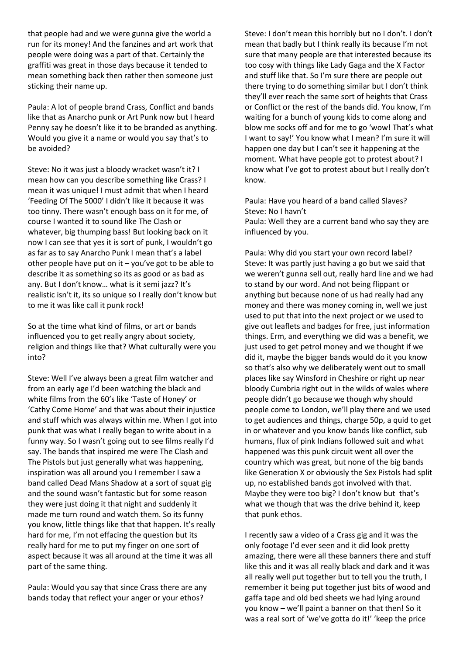that people had and we were gunna give the world a run for its money! And the fanzines and art work that people were doing was a part of that. Certainly the graffiti was great in those days because it tended to mean something back then rather then someone just sticking their name up.

Paula: A lot of people brand Crass, Conflict and bands like that as Anarcho punk or Art Punk now but I heard Penny say he doesn't like it to be branded as anything. Would you give it a name or would you say that's to be avoided?

Steve: No it was just a bloody wracket wasn't it? I mean how can you describe something like Crass? I mean it was unique! I must admit that when I heard 'Feeding Of The 5000' I didn't like it because it was too tinny. There wasn't enough bass on it for me, of course I wanted it to sound like The Clash or whatever, big thumping bass! But looking back on it now I can see that yes it is sort of punk, I wouldn't go as far as to say Anarcho Punk I mean that's a label other people have put on it  $-$  you've got to be able to describe it as something so its as good or as bad as any. But I don't know… what is it semi jazz? It's realistic isn't it, its so unique so I really don't know but to me it was like call it punk rock!

So at the time what kind of films, or art or bands influenced you to get really angry about society, religion and things like that? What culturally were you into?

Steve: Well I've always been a great film watcher and from an early age I'd been watching the black and white films from the 60's like 'Taste of Honey' or 'Cathy Come Home' and that was about their injustice and stuff which was always within me. When I got into punk that was what I really began to write about in a funny way. So I wasn't going out to see films really I'd say. The bands that inspired me were The Clash and The Pistols but just generally what was happening, inspiration was all around you I remember I saw a band called Dead Mans Shadow at a sort of squat gig and the sound wasn't fantastic but for some reason they were just doing it that night and suddenly it made me turn round and watch them. So its funny you know, little things like that that happen. It's really hard for me, I'm not effacing the question but its really hard for me to put my finger on one sort of aspect because it was all around at the time it was all part of the same thing.

Paula: Would you say that since Crass there are any bands today that reflect your anger or your ethos?

Steve: I don't mean this horribly but no I don't. I don't mean that badly but I think really its because I'm not sure that many people are that interested because its too cosy with things like Lady Gaga and the X Factor and stuff like that. So I'm sure there are people out there trying to do something similar but I don't think they'll ever reach the same sort of heights that Crass or Conflict or the rest of the bands did. You know, I'm waiting for a bunch of young kids to come along and blow me socks off and for me to go 'wow! That's what I want to say!' You know what I mean? I'm sure it will happen one day but I can't see it happening at the moment. What have people got to protest about? I know what I've got to protest about but I really don't know.

Paula: Have you heard of a band called Slaves? Steve: No I havn't Paula: Well they are a current band who say they are influenced by you.

Paula: Why did you start your own record label? Steve: It was partly just having a go but we said that we weren't gunna sell out, really hard line and we had to stand by our word. And not being flippant or anything but because none of us had really had any money and there was money coming in, well we just used to put that into the next project or we used to give out leaflets and badges for free, just information things. Erm, and everything we did was a benefit, we just used to get petrol money and we thought if we did it, maybe the bigger bands would do it you know so that's also why we deliberately went out to small places like say Winsford in Cheshire or right up near bloody Cumbria right out in the wilds of wales where people didn't go because we though why should people come to London, we'll play there and we used to get audiences and things, charge 50p, a quid to get in or whatever and you know bands like conflict, sub humans, flux of pink Indians followed suit and what happened was this punk circuit went all over the country which was great, but none of the big bands like Generation X or obviously the Sex Pistols had split up, no established bands got involved with that. Maybe they were too big? I don't know but that's what we though that was the drive behind it, keep that punk ethos.

I recently saw a video of a Crass gig and it was the only footage I'd ever seen and it did look pretty amazing, there were all these banners there and stuff like this and it was all really black and dark and it was all really well put together but to tell you the truth, I remember it being put together just bits of wood and gaffa tape and old bed sheets we had lying around you know – we'll paint a banner on that then! So it was a real sort of 'we've gotta do it!' 'keep the price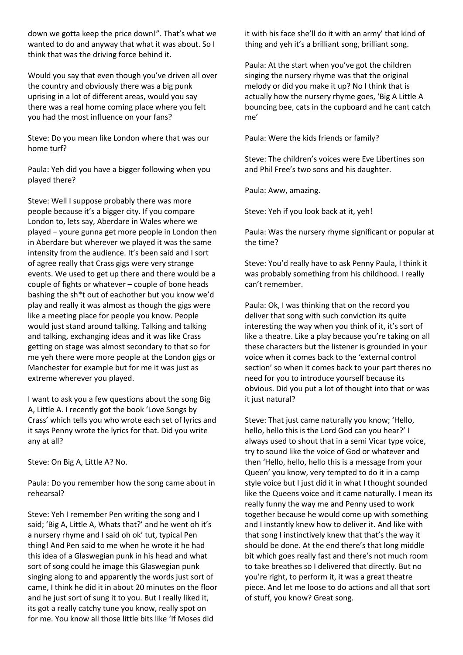down we gotta keep the price down!". That's what we wanted to do and anyway that what it was about. So I think that was the driving force behind it.

Would you say that even though you've driven all over the country and obviously there was a big punk uprising in a lot of different areas, would you say there was a real home coming place where you felt you had the most influence on your fans?

Steve: Do you mean like London where that was our home turf?

Paula: Yeh did you have a bigger following when you played there?

Steve: Well I suppose probably there was more people because it's a bigger city. If you compare London to, lets say, Aberdare in Wales where we played – youre gunna get more people in London then in Aberdare but wherever we played it was the same intensity from the audience. It's been said and I sort of agree really that Crass gigs were very strange events. We used to get up there and there would be a couple of fights or whatever – couple of bone heads bashing the sh\*t out of eachother but you know we'd play and really it was almost as though the gigs were like a meeting place for people you know. People would just stand around talking. Talking and talking and talking, exchanging ideas and it was like Crass getting on stage was almost secondary to that so for me yeh there were more people at the London gigs or Manchester for example but for me it was just as extreme wherever you played.

I want to ask you a few questions about the song Big A, Little A. I recently got the book 'Love Songs by Crass' which tells you who wrote each set of lyrics and it says Penny wrote the lyrics for that. Did you write any at all?

Steve: On Big A, Little A? No.

Paula: Do you remember how the song came about in rehearsal?

Steve: Yeh I remember Pen writing the song and I said; 'Big A, Little A, Whats that?' and he went oh it's a nursery rhyme and I said oh ok' tut, typical Pen thing! And Pen said to me when he wrote it he had this idea of a Glaswegian punk in his head and what sort of song could he image this Glaswegian punk singing along to and apparently the words just sort of came, I think he did it in about 20 minutes on the floor and he just sort of sung it to you. But I really liked it, its got a really catchy tune you know, really spot on for me. You know all those little bits like 'If Moses did

it with his face she'll do it with an army' that kind of thing and yeh it's a brilliant song, brilliant song.

Paula: At the start when you've got the children singing the nursery rhyme was that the original melody or did you make it up? No I think that is actually how the nursery rhyme goes, 'Big A Little A bouncing bee, cats in the cupboard and he cant catch me'

Paula: Were the kids friends or family?

Steve: The children's voices were Eve Libertines son and Phil Free's two sons and his daughter.

Paula: Aww, amazing.

Steve: Yeh if you look back at it, yeh!

Paula: Was the nursery rhyme significant or popular at the time?

Steve: You'd really have to ask Penny Paula, I think it was probably something from his childhood. I really can't remember.

Paula: Ok, I was thinking that on the record you deliver that song with such conviction its quite interesting the way when you think of it, it's sort of like a theatre. Like a play because you're taking on all these characters but the listener is grounded in your voice when it comes back to the 'external control section' so when it comes back to your part theres no need for you to introduce yourself because its obvious. Did you put a lot of thought into that or was it just natural?

Steve: That just came naturally you know; 'Hello, hello, hello this is the Lord God can you hear?' I always used to shout that in a semi Vicar type voice, try to sound like the voice of God or whatever and then 'Hello, hello, hello this is a message from your Queen' you know, very tempted to do it in a camp style voice but I just did it in what I thought sounded like the Queens voice and it came naturally. I mean its really funny the way me and Penny used to work together because he would come up with something and I instantly knew how to deliver it. And like with that song I instinctively knew that that's the way it should be done. At the end there's that long middle bit which goes really fast and there's not much room to take breathes so I delivered that directly. But no you're right, to perform it, it was a great theatre piece. And let me loose to do actions and all that sort of stuff, you know? Great song.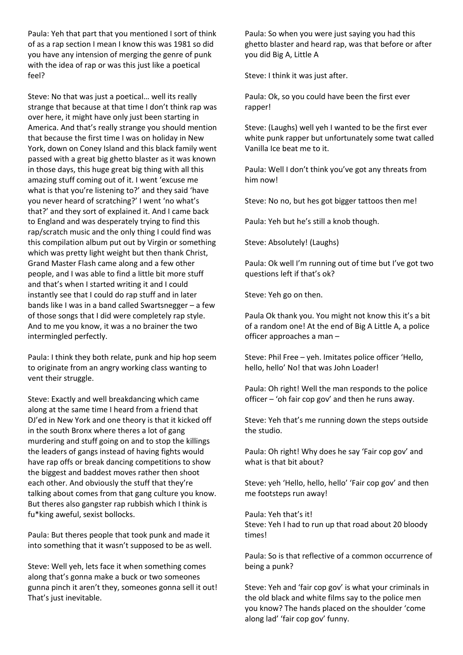Paula: Yeh that part that you mentioned I sort of think of as a rap section I mean I know this was 1981 so did you have any intension of merging the genre of punk with the idea of rap or was this just like a poetical feel?

Steve: No that was just a poetical… well its really strange that because at that time I don't think rap was over here, it might have only just been starting in America. And that's really strange you should mention that because the first time I was on holiday in New York, down on Coney Island and this black family went passed with a great big ghetto blaster as it was known in those days, this huge great big thing with all this amazing stuff coming out of it. I went 'excuse me what is that you're listening to?' and they said 'have you never heard of scratching?' I went 'no what's that?' and they sort of explained it. And I came back to England and was desperately trying to find this rap/scratch music and the only thing I could find was this compilation album put out by Virgin or something which was pretty light weight but then thank Christ, Grand Master Flash came along and a few other people, and I was able to find a little bit more stuff and that's when I started writing it and I could instantly see that I could do rap stuff and in later bands like I was in a band called Swartsnegger – a few of those songs that I did were completely rap style. And to me you know, it was a no brainer the two intermingled perfectly.

Paula: I think they both relate, punk and hip hop seem to originate from an angry working class wanting to vent their struggle.

Steve: Exactly and well breakdancing which came along at the same time I heard from a friend that DJ'ed in New York and one theory is that it kicked off in the south Bronx where theres a lot of gang murdering and stuff going on and to stop the killings the leaders of gangs instead of having fights would have rap offs or break dancing competitions to show the biggest and baddest moves rather then shoot each other. And obviously the stuff that they're talking about comes from that gang culture you know. But theres also gangster rap rubbish which I think is fu\*king aweful, sexist bollocks.

Paula: But theres people that took punk and made it into something that it wasn't supposed to be as well.

Steve: Well yeh, lets face it when something comes along that's gonna make a buck or two someones gunna pinch it aren't they, someones gonna sell it out! That's just inevitable.

Paula: So when you were just saying you had this ghetto blaster and heard rap, was that before or after you did Big A, Little A

Steve: I think it was just after.

Paula: Ok, so you could have been the first ever rapper!

Steve: (Laughs) well yeh I wanted to be the first ever white punk rapper but unfortunately some twat called Vanilla Ice beat me to it.

Paula: Well I don't think you've got any threats from him now!

Steve: No no, but hes got bigger tattoos then me!

Paula: Yeh but he's still a knob though.

Steve: Absolutely! (Laughs)

Paula: Ok well I'm running out of time but I've got two questions left if that's ok?

Steve: Yeh go on then.

Paula Ok thank you. You might not know this it's a bit of a random one! At the end of Big A Little A, a police officer approaches a man –

Steve: Phil Free – yeh. Imitates police officer 'Hello, hello, hello' No! that was John Loader!

Paula: Oh right! Well the man responds to the police officer – 'oh fair cop gov' and then he runs away.

Steve: Yeh that's me running down the steps outside the studio.

Paula: Oh right! Why does he say 'Fair cop gov' and what is that bit about?

Steve: yeh 'Hello, hello, hello' 'Fair cop gov' and then me footsteps run away!

Paula: Yeh that's it! Steve: Yeh I had to run up that road about 20 bloody times!

Paula: So is that reflective of a common occurrence of being a punk?

Steve: Yeh and 'fair cop gov' is what your criminals in the old black and white films say to the police men you know? The hands placed on the shoulder 'come along lad' 'fair cop gov' funny.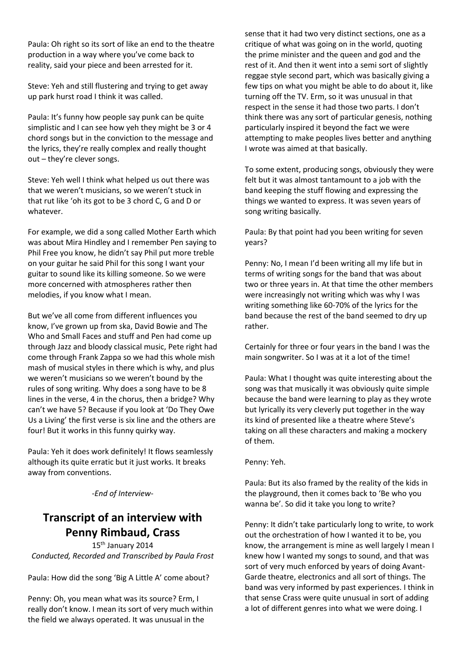Paula: Oh right so its sort of like an end to the theatre production in a way where you've come back to reality, said your piece and been arrested for it.

Steve: Yeh and still flustering and trying to get away up park hurst road I think it was called.

Paula: It's funny how people say punk can be quite simplistic and I can see how yeh they might be 3 or 4 chord songs but in the conviction to the message and the lyrics, they're really complex and really thought out – they're clever songs.

Steve: Yeh well I think what helped us out there was that we weren't musicians, so we weren't stuck in that rut like 'oh its got to be 3 chord C, G and D or whatever.

For example, we did a song called Mother Earth which was about Mira Hindley and I remember Pen saying to Phil Free you know, he didn't say Phil put more treble on your guitar he said Phil for this song I want your guitar to sound like its killing someone. So we were more concerned with atmospheres rather then melodies, if you know what I mean.

But we've all come from different influences you know, I've grown up from ska, David Bowie and The Who and Small Faces and stuff and Pen had come up through Jazz and bloody classical music, Pete right had come through Frank Zappa so we had this whole mish mash of musical styles in there which is why, and plus we weren't musicians so we weren't bound by the rules of song writing. Why does a song have to be 8 lines in the verse, 4 in the chorus, then a bridge? Why can't we have 5? Because if you look at 'Do They Owe Us a Living' the first verse is six line and the others are four! But it works in this funny quirky way.

Paula: Yeh it does work definitely! It flows seamlessly although its quite erratic but it just works. It breaks away from conventions.

*-End of Interview-*

## **Transcript of an interview with Penny Rimbaud, Crass**

15<sup>th</sup> January 2014 *Conducted, Recorded and Transcribed by Paula Frost*

Paula: How did the song 'Big A Little A' come about?

Penny: Oh, you mean what was its source? Erm, I really don't know. I mean its sort of very much within the field we always operated. It was unusual in the

sense that it had two very distinct sections, one as a critique of what was going on in the world, quoting the prime minister and the queen and god and the rest of it. And then it went into a semi sort of slightly reggae style second part, which was basically giving a few tips on what you might be able to do about it, like turning off the TV. Erm, so it was unusual in that respect in the sense it had those two parts. I don't think there was any sort of particular genesis, nothing particularly inspired it beyond the fact we were attempting to make peoples lives better and anything I wrote was aimed at that basically.

To some extent, producing songs, obviously they were felt but it was almost tantamount to a job with the band keeping the stuff flowing and expressing the things we wanted to express. It was seven years of song writing basically.

Paula: By that point had you been writing for seven years?

Penny: No, I mean I'd been writing all my life but in terms of writing songs for the band that was about two or three years in. At that time the other members were increasingly not writing which was why I was writing something like 60-70% of the lyrics for the band because the rest of the band seemed to dry up rather.

Certainly for three or four years in the band I was the main songwriter. So I was at it a lot of the time!

Paula: What I thought was quite interesting about the song was that musically it was obviously quite simple because the band were learning to play as they wrote but lyrically its very cleverly put together in the way its kind of presented like a theatre where Steve's taking on all these characters and making a mockery of them.

Penny: Yeh.

Paula: But its also framed by the reality of the kids in the playground, then it comes back to 'Be who you wanna be'. So did it take you long to write?

Penny: It didn't take particularly long to write, to work out the orchestration of how I wanted it to be, you know, the arrangement is mine as well largely I mean I knew how I wanted my songs to sound, and that was sort of very much enforced by years of doing Avant-Garde theatre, electronics and all sort of things. The band was very informed by past experiences. I think in that sense Crass were quite unusual in sort of adding a lot of different genres into what we were doing. I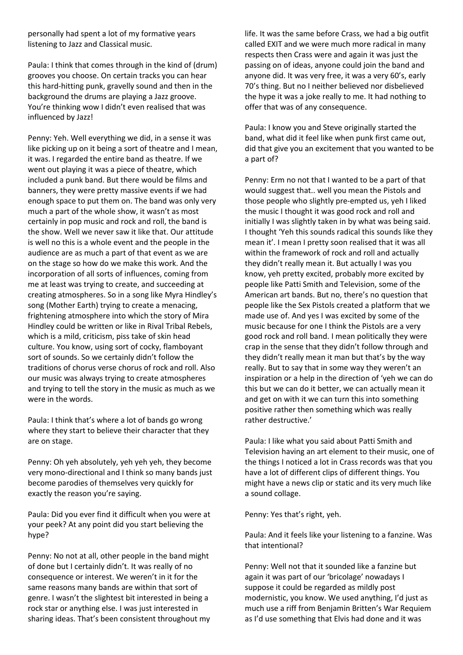personally had spent a lot of my formative years listening to Jazz and Classical music.

Paula: I think that comes through in the kind of (drum) grooves you choose. On certain tracks you can hear this hard-hitting punk, gravelly sound and then in the background the drums are playing a Jazz groove. You're thinking wow I didn't even realised that was influenced by Jazz!

Penny: Yeh. Well everything we did, in a sense it was like picking up on it being a sort of theatre and I mean, it was. I regarded the entire band as theatre. If we went out playing it was a piece of theatre, which included a punk band. But there would be films and banners, they were pretty massive events if we had enough space to put them on. The band was only very much a part of the whole show, it wasn't as most certainly in pop music and rock and roll, the band is the show. Well we never saw it like that. Our attitude is well no this is a whole event and the people in the audience are as much a part of that event as we are on the stage so how do we make this work. And the incorporation of all sorts of influences, coming from me at least was trying to create, and succeeding at creating atmospheres. So in a song like Myra Hindley's song (Mother Earth) trying to create a menacing, frightening atmosphere into which the story of Mira Hindley could be written or like in Rival Tribal Rebels, which is a mild, criticism, piss take of skin head culture. You know, using sort of cocky, flamboyant sort of sounds. So we certainly didn't follow the traditions of chorus verse chorus of rock and roll. Also our music was always trying to create atmospheres and trying to tell the story in the music as much as we were in the words.

Paula: I think that's where a lot of bands go wrong where they start to believe their character that they are on stage.

Penny: Oh yeh absolutely, yeh yeh yeh, they become very mono-directional and I think so many bands just become parodies of themselves very quickly for exactly the reason you're saying.

Paula: Did you ever find it difficult when you were at your peek? At any point did you start believing the hype?

Penny: No not at all, other people in the band might of done but I certainly didn't. It was really of no consequence or interest. We weren't in it for the same reasons many bands are within that sort of genre. I wasn't the slightest bit interested in being a rock star or anything else. I was just interested in sharing ideas. That's been consistent throughout my

life. It was the same before Crass, we had a big outfit called EXIT and we were much more radical in many respects then Crass were and again it was just the passing on of ideas, anyone could join the band and anyone did. It was very free, it was a very 60's, early 70's thing. But no I neither believed nor disbelieved the hype it was a joke really to me. It had nothing to offer that was of any consequence.

Paula: I know you and Steve originally started the band, what did it feel like when punk first came out, did that give you an excitement that you wanted to be a part of?

Penny: Erm no not that I wanted to be a part of that would suggest that.. well you mean the Pistols and those people who slightly pre-empted us, yeh I liked the music I thought it was good rock and roll and initially I was slightly taken in by what was being said. I thought 'Yeh this sounds radical this sounds like they mean it'. I mean I pretty soon realised that it was all within the framework of rock and roll and actually they didn't really mean it. But actually I was you know, yeh pretty excited, probably more excited by people like Patti Smith and Television, some of the American art bands. But no, there's no question that people like the Sex Pistols created a platform that we made use of. And yes I was excited by some of the music because for one I think the Pistols are a very good rock and roll band. I mean politically they were crap in the sense that they didn't follow through and they didn't really mean it man but that's by the way really. But to say that in some way they weren't an inspiration or a help in the direction of 'yeh we can do this but we can do it better, we can actually mean it and get on with it we can turn this into something positive rather then something which was really rather destructive.'

Paula: I like what you said about Patti Smith and Television having an art element to their music, one of the things I noticed a lot in Crass records was that you have a lot of different clips of different things. You might have a news clip or static and its very much like a sound collage.

Penny: Yes that's right, yeh.

Paula: And it feels like your listening to a fanzine. Was that intentional?

Penny: Well not that it sounded like a fanzine but again it was part of our 'bricolage' nowadays I suppose it could be regarded as mildly post modernistic, you know. We used anything, I'd just as much use a riff from Benjamin Britten's War Requiem as I'd use something that Elvis had done and it was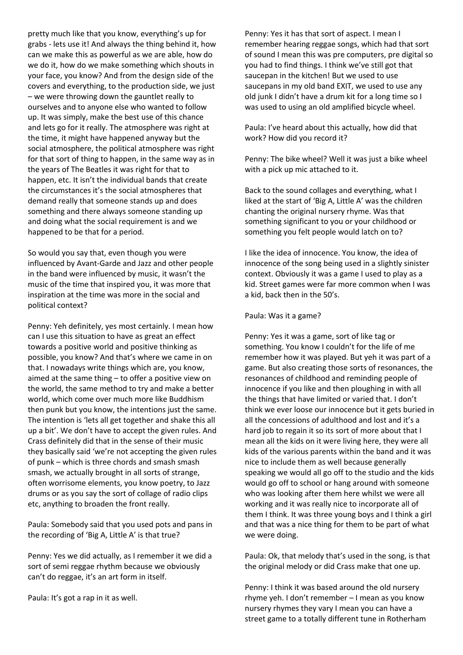pretty much like that you know, everything's up for grabs - lets use it! And always the thing behind it, how can we make this as powerful as we are able, how do we do it, how do we make something which shouts in your face, you know? And from the design side of the covers and everything, to the production side, we just – we were throwing down the gauntlet really to ourselves and to anyone else who wanted to follow up. It was simply, make the best use of this chance and lets go for it really. The atmosphere was right at the time, it might have happened anyway but the social atmosphere, the political atmosphere was right for that sort of thing to happen, in the same way as in the years of The Beatles it was right for that to happen, etc. It isn't the individual bands that create the circumstances it's the social atmospheres that demand really that someone stands up and does something and there always someone standing up and doing what the social requirement is and we happened to be that for a period.

So would you say that, even though you were influenced by Avant-Garde and Jazz and other people in the band were influenced by music, it wasn't the music of the time that inspired you, it was more that inspiration at the time was more in the social and political context?

Penny: Yeh definitely, yes most certainly. I mean how can I use this situation to have as great an effect towards a positive world and positive thinking as possible, you know? And that's where we came in on that. I nowadays write things which are, you know, aimed at the same thing – to offer a positive view on the world, the same method to try and make a better world, which come over much more like Buddhism then punk but you know, the intentions just the same. The intention is 'lets all get together and shake this all up a bit'. We don't have to accept the given rules. And Crass definitely did that in the sense of their music they basically said 'we're not accepting the given rules of punk – which is three chords and smash smash smash, we actually brought in all sorts of strange, often worrisome elements, you know poetry, to Jazz drums or as you say the sort of collage of radio clips etc, anything to broaden the front really.

Paula: Somebody said that you used pots and pans in the recording of 'Big A, Little A' is that true?

Penny: Yes we did actually, as I remember it we did a sort of semi reggae rhythm because we obviously can't do reggae, it's an art form in itself.

Paula: It's got a rap in it as well.

Penny: Yes it has that sort of aspect. I mean I remember hearing reggae songs, which had that sort of sound I mean this was pre computers, pre digital so you had to find things. I think we've still got that saucepan in the kitchen! But we used to use saucepans in my old band EXIT, we used to use any old junk I didn't have a drum kit for a long time so I was used to using an old amplified bicycle wheel.

Paula: I've heard about this actually, how did that work? How did you record it?

Penny: The bike wheel? Well it was just a bike wheel with a pick up mic attached to it.

Back to the sound collages and everything, what I liked at the start of 'Big A, Little A' was the children chanting the original nursery rhyme. Was that something significant to you or your childhood or something you felt people would latch on to?

I like the idea of innocence. You know, the idea of innocence of the song being used in a slightly sinister context. Obviously it was a game I used to play as a kid. Street games were far more common when I was a kid, back then in the 50's.

#### Paula: Was it a game?

Penny: Yes it was a game, sort of like tag or something. You know I couldn't for the life of me remember how it was played. But yeh it was part of a game. But also creating those sorts of resonances, the resonances of childhood and reminding people of innocence if you like and then ploughing in with all the things that have limited or varied that. I don't think we ever loose our innocence but it gets buried in all the concessions of adulthood and lost and it's a hard job to regain it so its sort of more about that I mean all the kids on it were living here, they were all kids of the various parents within the band and it was nice to include them as well because generally speaking we would all go off to the studio and the kids would go off to school or hang around with someone who was looking after them here whilst we were all working and it was really nice to incorporate all of them I think. It was three young boys and I think a girl and that was a nice thing for them to be part of what we were doing.

Paula: Ok, that melody that's used in the song, is that the original melody or did Crass make that one up.

Penny: I think it was based around the old nursery rhyme yeh. I don't remember – I mean as you know nursery rhymes they vary I mean you can have a street game to a totally different tune in Rotherham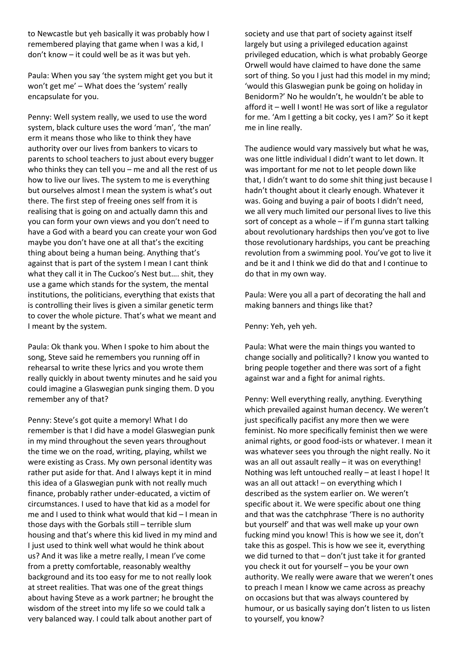to Newcastle but yeh basically it was probably how I remembered playing that game when I was a kid, I don't know – it could well be as it was but yeh.

Paula: When you say 'the system might get you but it won't get me' – What does the 'system' really encapsulate for you.

Penny: Well system really, we used to use the word system, black culture uses the word 'man', 'the man' erm it means those who like to think they have authority over our lives from bankers to vicars to parents to school teachers to just about every bugger who thinks they can tell you – me and all the rest of us how to live our lives. The system to me is everything but ourselves almost I mean the system is what's out there. The first step of freeing ones self from it is realising that is going on and actually damn this and you can form your own views and you don't need to have a God with a beard you can create your won God maybe you don't have one at all that's the exciting thing about being a human being. Anything that's against that is part of the system I mean I cant think what they call it in The Cuckoo's Nest but…. shit, they use a game which stands for the system, the mental institutions, the politicians, everything that exists that is controlling their lives is given a similar genetic term to cover the whole picture. That's what we meant and I meant by the system.

Paula: Ok thank you. When I spoke to him about the song, Steve said he remembers you running off in rehearsal to write these lyrics and you wrote them really quickly in about twenty minutes and he said you could imagine a Glaswegian punk singing them. D you remember any of that?

Penny: Steve's got quite a memory! What I do remember is that I did have a model Glaswegian punk in my mind throughout the seven years throughout the time we on the road, writing, playing, whilst we were existing as Crass. My own personal identity was rather put aside for that. And I always kept it in mind this idea of a Glaswegian punk with not really much finance, probably rather under-educated, a victim of circumstances. I used to have that kid as a model for me and I used to think what would that kid – I mean in those days with the Gorbals still – terrible slum housing and that's where this kid lived in my mind and I just used to think well what would he think about us? And it was like a metre really, I mean I've come from a pretty comfortable, reasonably wealthy background and its too easy for me to not really look at street realities. That was one of the great things about having Steve as a work partner; he brought the wisdom of the street into my life so we could talk a very balanced way. I could talk about another part of

society and use that part of society against itself largely but using a privileged education against privileged education, which is what probably George Orwell would have claimed to have done the same sort of thing. So you I just had this model in my mind; 'would this Glaswegian punk be going on holiday in Benidorm?' No he wouldn't, he wouldn't be able to afford it – well I wont! He was sort of like a regulator for me. 'Am I getting a bit cocky, yes I am?' So it kept me in line really.

The audience would vary massively but what he was, was one little individual I didn't want to let down. It was important for me not to let people down like that, I didn't want to do some shit thing just because I hadn't thought about it clearly enough. Whatever it was. Going and buying a pair of boots I didn't need, we all very much limited our personal lives to live this sort of concept as a whole – if I'm gunna start talking about revolutionary hardships then you've got to live those revolutionary hardships, you cant be preaching revolution from a swimming pool. You've got to live it and be it and I think we did do that and I continue to do that in my own way.

Paula: Were you all a part of decorating the hall and making banners and things like that?

Penny: Yeh, yeh yeh.

Paula: What were the main things you wanted to change socially and politically? I know you wanted to bring people together and there was sort of a fight against war and a fight for animal rights.

Penny: Well everything really, anything. Everything which prevailed against human decency. We weren't just specifically pacifist any more then we were feminist. No more specifically feminist then we were animal rights, or good food-ists or whatever. I mean it was whatever sees you through the night really. No it was an all out assault really – it was on everything! Nothing was left untouched really – at least I hope! It was an all out attack! – on everything which I described as the system earlier on. We weren't specific about it. We were specific about one thing and that was the catchphrase 'There is no authority but yourself' and that was well make up your own fucking mind you know! This is how we see it, don't take this as gospel. This is how we see it, everything we did turned to that – don't just take it for granted you check it out for yourself – you be your own authority. We really were aware that we weren't ones to preach I mean I know we came across as preachy on occasions but that was always countered by humour, or us basically saying don't listen to us listen to yourself, you know?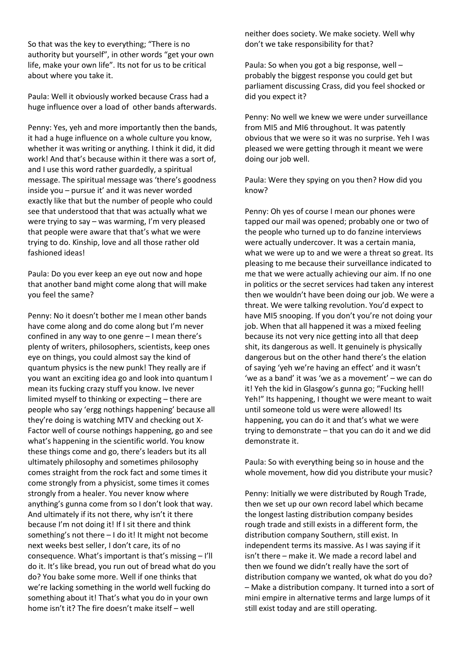So that was the key to everything; "There is no authority but yourself", in other words "get your own life, make your own life". Its not for us to be critical about where you take it.

Paula: Well it obviously worked because Crass had a huge influence over a load of other bands afterwards.

Penny: Yes, yeh and more importantly then the bands, it had a huge influence on a whole culture you know, whether it was writing or anything. I think it did, it did work! And that's because within it there was a sort of, and I use this word rather guardedly, a spiritual message. The spiritual message was 'there's goodness inside you – pursue it' and it was never worded exactly like that but the number of people who could see that understood that that was actually what we were trying to say – was warming, I'm very pleased that people were aware that that's what we were trying to do. Kinship, love and all those rather old fashioned ideas!

Paula: Do you ever keep an eye out now and hope that another band might come along that will make you feel the same?

Penny: No it doesn't bother me I mean other bands have come along and do come along but I'm never confined in any way to one genre – I mean there's plenty of writers, philosophers, scientists, keep ones eye on things, you could almost say the kind of quantum physics is the new punk! They really are if you want an exciting idea go and look into quantum I mean its fucking crazy stuff you know. Ive never limited myself to thinking or expecting – there are people who say 'ergg nothings happening' because all they're doing is watching MTV and checking out X-Factor well of course nothings happening, go and see what's happening in the scientific world. You know these things come and go, there's leaders but its all ultimately philosophy and sometimes philosophy comes straight from the rock fact and some times it come strongly from a physicist, some times it comes strongly from a healer. You never know where anything's gunna come from so I don't look that way. And ultimately if its not there, why isn't it there because I'm not doing it! If I sit there and think something's not there – I do it! It might not become next weeks best seller, I don't care, its of no consequence. What's important is that's missing – I'll do it. It's like bread, you run out of bread what do you do? You bake some more. Well if one thinks that we're lacking something in the world well fucking do something about it! That's what you do in your own home isn't it? The fire doesn't make itself – well

neither does society. We make society. Well why don't we take responsibility for that?

Paula: So when you got a big response, well – probably the biggest response you could get but parliament discussing Crass, did you feel shocked or did you expect it?

Penny: No well we knew we were under surveillance from MI5 and MI6 throughout. It was patently obvious that we were so it was no surprise. Yeh I was pleased we were getting through it meant we were doing our job well.

Paula: Were they spying on you then? How did you know?

Penny: Oh yes of course I mean our phones were tapped our mail was opened; probably one or two of the people who turned up to do fanzine interviews were actually undercover. It was a certain mania, what we were up to and we were a threat so great. Its pleasing to me because their surveillance indicated to me that we were actually achieving our aim. If no one in politics or the secret services had taken any interest then we wouldn't have been doing our job. We were a threat. We were talking revolution. You'd expect to have MI5 snooping. If you don't you're not doing your job. When that all happened it was a mixed feeling because its not very nice getting into all that deep shit, its dangerous as well. It genuinely is physically dangerous but on the other hand there's the elation of saying 'yeh we're having an effect' and it wasn't 'we as a band' it was 'we as a movement' – we can do it! Yeh the kid in Glasgow's gunna go; "Fucking hell! Yeh!" Its happening, I thought we were meant to wait until someone told us were were allowed! Its happening, you can do it and that's what we were trying to demonstrate – that you can do it and we did demonstrate it.

Paula: So with everything being so in house and the whole movement, how did you distribute your music?

Penny: Initially we were distributed by Rough Trade, then we set up our own record label which became the longest lasting distribution company besides rough trade and still exists in a different form, the distribution company Southern, still exist. In independent terms its massive. As I was saying if it isn't there – make it. We made a record label and then we found we didn't really have the sort of distribution company we wanted, ok what do you do? – Make a distribution company. It turned into a sort of mini empire in alternative terms and large lumps of it still exist today and are still operating.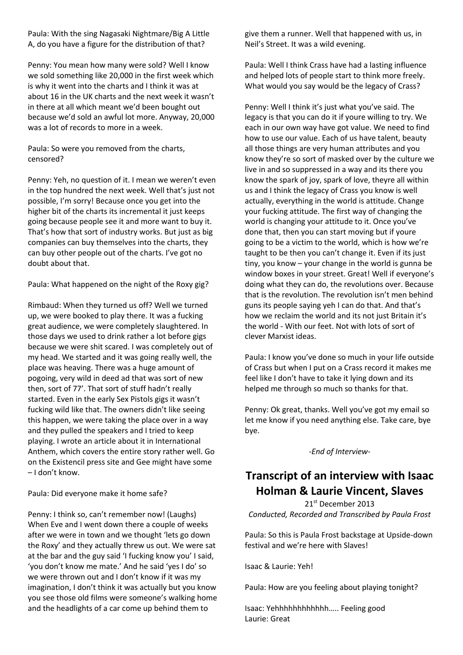Paula: With the sing Nagasaki Nightmare/Big A Little A, do you have a figure for the distribution of that?

Penny: You mean how many were sold? Well I know we sold something like 20,000 in the first week which is why it went into the charts and I think it was at about 16 in the UK charts and the next week it wasn't in there at all which meant we'd been bought out because we'd sold an awful lot more. Anyway, 20,000 was a lot of records to more in a week.

Paula: So were you removed from the charts, censored?

Penny: Yeh, no question of it. I mean we weren't even in the top hundred the next week. Well that's just not possible, I'm sorry! Because once you get into the higher bit of the charts its incremental it just keeps going because people see it and more want to buy it. That's how that sort of industry works. But just as big companies can buy themselves into the charts, they can buy other people out of the charts. I've got no doubt about that.

Paula: What happened on the night of the Roxy gig?

Rimbaud: When they turned us off? Well we turned up, we were booked to play there. It was a fucking great audience, we were completely slaughtered. In those days we used to drink rather a lot before gigs because we were shit scared. I was completely out of my head. We started and it was going really well, the place was heaving. There was a huge amount of pogoing, very wild in deed ad that was sort of new then, sort of 77'. That sort of stuff hadn't really started. Even in the early Sex Pistols gigs it wasn't fucking wild like that. The owners didn't like seeing this happen, we were taking the place over in a way and they pulled the speakers and I tried to keep playing. I wrote an article about it in International Anthem, which covers the entire story rather well. Go on the Existencil press site and Gee might have some – I don't know.

Paula: Did everyone make it home safe?

Penny: I think so, can't remember now! (Laughs) When Eve and I went down there a couple of weeks after we were in town and we thought 'lets go down the Roxy' and they actually threw us out. We were sat at the bar and the guy said 'I fucking know you' I said, 'you don't know me mate.' And he said 'yes I do' so we were thrown out and I don't know if it was my imagination, I don't think it was actually but you know you see those old films were someone's walking home and the headlights of a car come up behind them to

give them a runner. Well that happened with us, in Neil's Street. It was a wild evening.

Paula: Well I think Crass have had a lasting influence and helped lots of people start to think more freely. What would you say would be the legacy of Crass?

Penny: Well I think it's just what you've said. The legacy is that you can do it if youre willing to try. We each in our own way have got value. We need to find how to use our value. Each of us have talent, beauty all those things are very human attributes and you know they're so sort of masked over by the culture we live in and so suppressed in a way and its there you know the spark of joy, spark of love, theyre all within us and I think the legacy of Crass you know is well actually, everything in the world is attitude. Change your fucking attitude. The first way of changing the world is changing your attitude to it. Once you've done that, then you can start moving but if youre going to be a victim to the world, which is how we're taught to be then you can't change it. Even if its just tiny, you know – your change in the world is gunna be window boxes in your street. Great! Well if everyone's doing what they can do, the revolutions over. Because that is the revolution. The revolution isn't men behind guns its people saying yeh I can do that. And that's how we reclaim the world and its not just Britain it's the world - With our feet. Not with lots of sort of clever Marxist ideas.

Paula: I know you've done so much in your life outside of Crass but when I put on a Crass record it makes me feel like I don't have to take it lying down and its helped me through so much so thanks for that.

Penny: Ok great, thanks. Well you've got my email so let me know if you need anything else. Take care, bye bye.

*-End of Interview-*

## **Transcript of an interview with Isaac Holman & Laurie Vincent, Slaves**

21<sup>st</sup> December 2013 *Conducted, Recorded and Transcribed by Paula Frost*

Paula: So this is Paula Frost backstage at Upside-down festival and we're here with Slaves!

Isaac & Laurie: Yeh!

Paula: How are you feeling about playing tonight?

Isaac: Yehhhhhhhhhhhh….. Feeling good Laurie: Great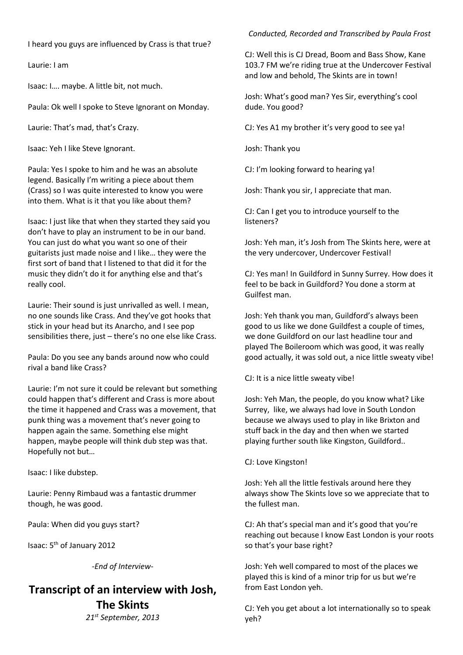I heard you guys are influenced by Crass is that true?

Laurie: I am

Isaac: I…. maybe. A little bit, not much.

Paula: Ok well I spoke to Steve Ignorant on Monday.

Laurie: That's mad, that's Crazy.

Isaac: Yeh I like Steve Ignorant.

Paula: Yes I spoke to him and he was an absolute legend. Basically I'm writing a piece about them (Crass) so I was quite interested to know you were into them. What is it that you like about them?

Isaac: I just like that when they started they said you don't have to play an instrument to be in our band. You can just do what you want so one of their guitarists just made noise and I like… they were the first sort of band that I listened to that did it for the music they didn't do it for anything else and that's really cool.

Laurie: Their sound is just unrivalled as well. I mean, no one sounds like Crass. And they've got hooks that stick in your head but its Anarcho, and I see pop sensibilities there, just – there's no one else like Crass.

Paula: Do you see any bands around now who could rival a band like Crass?

Laurie: I'm not sure it could be relevant but something could happen that's different and Crass is more about the time it happened and Crass was a movement, that punk thing was a movement that's never going to happen again the same. Something else might happen, maybe people will think dub step was that. Hopefully not but…

Isaac: I like dubstep.

Laurie: Penny Rimbaud was a fantastic drummer though, he was good.

Paula: When did you guys start?

Isaac: 5th of January 2012

*-End of Interview-*

## **Transcript of an interview with Josh, The Skints** *21st September, 2013*

#### *Conducted, Recorded and Transcribed by Paula Frost*

CJ: Well this is CJ Dread, Boom and Bass Show, Kane 103.7 FM we're riding true at the Undercover Festival and low and behold, The Skints are in town!

Josh: What's good man? Yes Sir, everything's cool dude. You good?

CJ: Yes A1 my brother it's very good to see ya!

Josh: Thank you

CJ: I'm looking forward to hearing ya!

Josh: Thank you sir, I appreciate that man.

CJ: Can I get you to introduce yourself to the listeners?

Josh: Yeh man, it's Josh from The Skints here, were at the very undercover, Undercover Festival!

CJ: Yes man! In Guildford in Sunny Surrey. How does it feel to be back in Guildford? You done a storm at Guilfest man.

Josh: Yeh thank you man, Guildford's always been good to us like we done Guildfest a couple of times, we done Guildford on our last headline tour and played The Boileroom which was good, it was really good actually, it was sold out, a nice little sweaty vibe!

CJ: It is a nice little sweaty vibe!

Josh: Yeh Man, the people, do you know what? Like Surrey, like, we always had love in South London because we always used to play in like Brixton and stuff back in the day and then when we started playing further south like Kingston, Guildford..

CJ: Love Kingston!

Josh: Yeh all the little festivals around here they always show The Skints love so we appreciate that to the fullest man.

CJ: Ah that's special man and it's good that you're reaching out because I know East London is your roots so that's your base right?

Josh: Yeh well compared to most of the places we played this is kind of a minor trip for us but we're from East London yeh.

CJ: Yeh you get about a lot internationally so to speak yeh?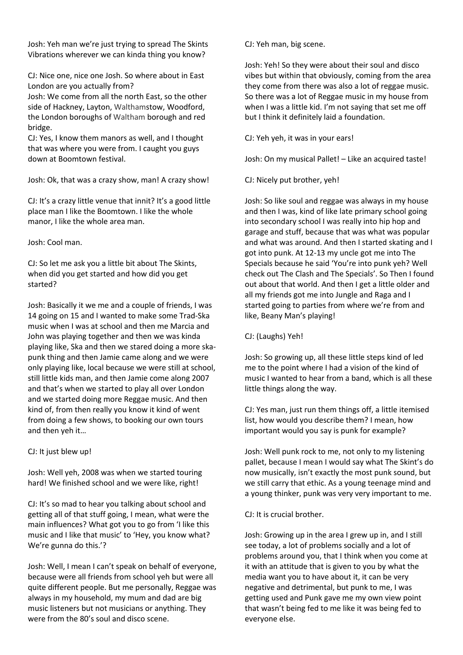Josh: Yeh man we're just trying to spread The Skints Vibrations wherever we can kinda thing you know?

CJ: Nice one, nice one Josh. So where about in East London are you actually from?

Josh: We come from all the north East, so the other side of Hackney, Layton, Walthamstow, Woodford, the London boroughs of Waltham borough and red bridge.

CJ: Yes, I know them manors as well, and I thought that was where you were from. I caught you guys down at Boomtown festival.

Josh: Ok, that was a crazy show, man! A crazy show!

CJ: It's a crazy little venue that innit? It's a good little place man I like the Boomtown. I like the whole manor, I like the whole area man.

Josh: Cool man.

CJ: So let me ask you a little bit about The Skints, when did you get started and how did you get started?

Josh: Basically it we me and a couple of friends, I was 14 going on 15 and I wanted to make some Trad-Ska music when I was at school and then me Marcia and John was playing together and then we was kinda playing like, Ska and then we stared doing a more skapunk thing and then Jamie came along and we were only playing like, local because we were still at school, still little kids man, and then Jamie come along 2007 and that's when we started to play all over London and we started doing more Reggae music. And then kind of, from then really you know it kind of went from doing a few shows, to booking our own tours and then yeh it…

CJ: It just blew up!

Josh: Well yeh, 2008 was when we started touring hard! We finished school and we were like, right!

CJ: It's so mad to hear you talking about school and getting all of that stuff going, I mean, what were the main influences? What got you to go from 'I like this music and I like that music' to 'Hey, you know what? We're gunna do this.'?

Josh: Well, I mean I can't speak on behalf of everyone, because were all friends from school yeh but were all quite different people. But me personally, Reggae was always in my household, my mum and dad are big music listeners but not musicians or anything. They were from the 80's soul and disco scene.

CJ: Yeh man, big scene.

Josh: Yeh! So they were about their soul and disco vibes but within that obviously, coming from the area they come from there was also a lot of reggae music. So there was a lot of Reggae music in my house from when I was a little kid. I'm not saying that set me off but I think it definitely laid a foundation.

CJ: Yeh yeh, it was in your ears!

Josh: On my musical Pallet! – Like an acquired taste!

CJ: Nicely put brother, yeh!

Josh: So like soul and reggae was always in my house and then I was, kind of like late primary school going into secondary school I was really into hip hop and garage and stuff, because that was what was popular and what was around. And then I started skating and I got into punk. At 12-13 my uncle got me into The Specials because he said 'You're into punk yeh? Well check out The Clash and The Specials'. So Then I found out about that world. And then I get a little older and all my friends got me into Jungle and Raga and I started going to parties from where we're from and like, Beany Man's playing!

CJ: (Laughs) Yeh!

Josh: So growing up, all these little steps kind of led me to the point where I had a vision of the kind of music I wanted to hear from a band, which is all these little things along the way.

CJ: Yes man, just run them things off, a little itemised list, how would you describe them? I mean, how important would you say is punk for example?

Josh: Well punk rock to me, not only to my listening pallet, because I mean I would say what The Skint's do now musically, isn't exactly the most punk sound, but we still carry that ethic. As a young teenage mind and a young thinker, punk was very very important to me.

CJ: It is crucial brother.

Josh: Growing up in the area I grew up in, and I still see today, a lot of problems socially and a lot of problems around you, that I think when you come at it with an attitude that is given to you by what the media want you to have about it, it can be very negative and detrimental, but punk to me, I was getting used and Punk gave me my own view point that wasn't being fed to me like it was being fed to everyone else.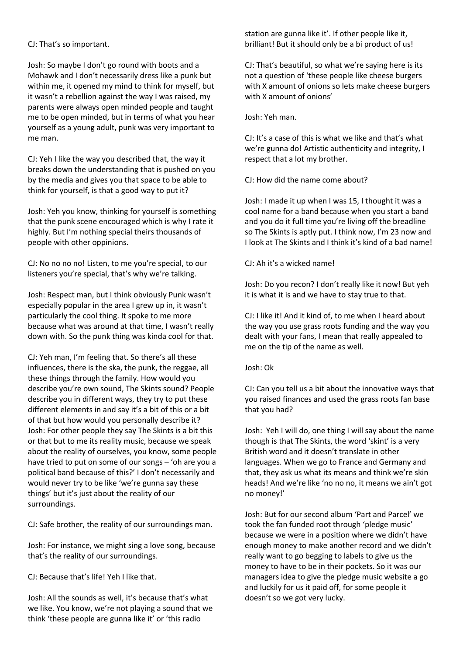CJ: That's so important.

Josh: So maybe I don't go round with boots and a Mohawk and I don't necessarily dress like a punk but within me, it opened my mind to think for myself, but it wasn't a rebellion against the way I was raised, my parents were always open minded people and taught me to be open minded, but in terms of what you hear yourself as a young adult, punk was very important to me man.

CJ: Yeh I like the way you described that, the way it breaks down the understanding that is pushed on you by the media and gives you that space to be able to think for yourself, is that a good way to put it?

Josh: Yeh you know, thinking for yourself is something that the punk scene encouraged which is why I rate it highly. But I'm nothing special theirs thousands of people with other oppinions.

CJ: No no no no! Listen, to me you're special, to our listeners you're special, that's why we're talking.

Josh: Respect man, but I think obviously Punk wasn't especially popular in the area I grew up in, it wasn't particularly the cool thing. It spoke to me more because what was around at that time, I wasn't really down with. So the punk thing was kinda cool for that.

CJ: Yeh man, I'm feeling that. So there's all these influences, there is the ska, the punk, the reggae, all these things through the family. How would you describe you're own sound, The Skints sound? People describe you in different ways, they try to put these different elements in and say it's a bit of this or a bit of that but how would you personally describe it? Josh: For other people they say The Skints is a bit this or that but to me its reality music, because we speak about the reality of ourselves, you know, some people have tried to put on some of our songs – 'oh are you a political band because of this?' I don't necessarily and would never try to be like 'we're gunna say these things' but it's just about the reality of our surroundings.

CJ: Safe brother, the reality of our surroundings man.

Josh: For instance, we might sing a love song, because that's the reality of our surroundings.

CJ: Because that's life! Yeh I like that.

Josh: All the sounds as well, it's because that's what we like. You know, we're not playing a sound that we think 'these people are gunna like it' or 'this radio

station are gunna like it'. If other people like it, brilliant! But it should only be a bi product of us!

CJ: That's beautiful, so what we're saying here is its not a question of 'these people like cheese burgers with X amount of onions so lets make cheese burgers with X amount of onions'

Josh: Yeh man.

CJ: It's a case of this is what we like and that's what we're gunna do! Artistic authenticity and integrity, I respect that a lot my brother.

CJ: How did the name come about?

Josh: I made it up when I was 15, I thought it was a cool name for a band because when you start a band and you do it full time you're living off the breadline so The Skints is aptly put. I think now, I'm 23 now and I look at The Skints and I think it's kind of a bad name!

CJ: Ah it's a wicked name!

Josh: Do you recon? I don't really like it now! But yeh it is what it is and we have to stay true to that.

CJ: I like it! And it kind of, to me when I heard about the way you use grass roots funding and the way you dealt with your fans, I mean that really appealed to me on the tip of the name as well.

Josh: Ok

CJ: Can you tell us a bit about the innovative ways that you raised finances and used the grass roots fan base that you had?

Josh: Yeh I will do, one thing I will say about the name though is that The Skints, the word 'skint' is a very British word and it doesn't translate in other languages. When we go to France and Germany and that, they ask us what its means and think we're skin heads! And we're like 'no no no, it means we ain't got no money!'

Josh: But for our second album 'Part and Parcel' we took the fan funded root through 'pledge music' because we were in a position where we didn't have enough money to make another record and we didn't really want to go begging to labels to give us the money to have to be in their pockets. So it was our managers idea to give the pledge music website a go and luckily for us it paid off, for some people it doesn't so we got very lucky.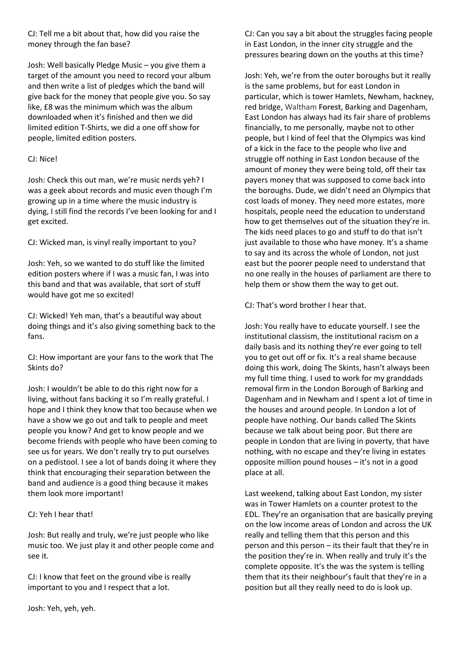CJ: Tell me a bit about that, how did you raise the money through the fan base?

Josh: Well basically Pledge Music – you give them a target of the amount you need to record your album and then write a list of pledges which the band will give back for the money that people give you. So say like, £8 was the minimum which was the album downloaded when it's finished and then we did limited edition T-Shirts, we did a one off show for people, limited edition posters.

#### CJ: Nice!

Josh: Check this out man, we're music nerds yeh? I was a geek about records and music even though I'm growing up in a time where the music industry is dying, I still find the records I've been looking for and I get excited.

CJ: Wicked man, is vinyl really important to you?

Josh: Yeh, so we wanted to do stuff like the limited edition posters where if I was a music fan, I was into this band and that was available, that sort of stuff would have got me so excited!

CJ: Wicked! Yeh man, that's a beautiful way about doing things and it's also giving something back to the fans.

CJ: How important are your fans to the work that The Skints do?

Josh: I wouldn't be able to do this right now for a living, without fans backing it so I'm really grateful. I hope and I think they know that too because when we have a show we go out and talk to people and meet people you know? And get to know people and we become friends with people who have been coming to see us for years. We don't really try to put ourselves on a pedistool. I see a lot of bands doing it where they think that encouraging their separation between the band and audience is a good thing because it makes them look more important!

#### CJ: Yeh I hear that!

Josh: But really and truly, we're just people who like music too. We just play it and other people come and see it.

CJ: I know that feet on the ground vibe is really important to you and I respect that a lot.

Josh: Yeh, yeh, yeh.

CJ: Can you say a bit about the struggles facing people in East London, in the inner city struggle and the pressures bearing down on the youths at this time?

Josh: Yeh, we're from the outer boroughs but it really is the same problems, but for east London in particular, which is tower Hamlets, Newham, hackney, red bridge, Waltham **Forest**, Barking and Dagenham, East London has always had its fair share of problems financially, to me personally, maybe not to other people, but I kind of feel that the Olympics was kind of a kick in the face to the people who live and struggle off nothing in East London because of the amount of money they were being told, off their tax payers money that was supposed to come back into the boroughs. Dude, we didn't need an Olympics that cost loads of money. They need more estates, more hospitals, people need the education to understand how to get themselves out of the situation they're in. The kids need places to go and stuff to do that isn't just available to those who have money. It's a shame to say and its across the whole of London, not just east but the poorer people need to understand that no one really in the houses of parliament are there to help them or show them the way to get out.

CJ: That's word brother I hear that.

Josh: You really have to educate yourself. I see the institutional classism, the institutional racism on a daily basis and its nothing they're ever going to tell you to get out off or fix. It's a real shame because doing this work, doing The Skints, hasn't always been my full time thing. I used to work for my granddads removal firm in the London Borough of Barking and Dagenham and in Newham and I spent a lot of time in the houses and around people. In London a lot of people have nothing. Our bands called The Skints because we talk about being poor. But there are people in London that are living in poverty, that have nothing, with no escape and they're living in estates opposite million pound houses – it's not in a good place at all.

Last weekend, talking about East London, my sister was in Tower Hamlets on a counter protest to the EDL. They're an organisation that are basically preying on the low income areas of London and across the UK really and telling them that this person and this person and this person – its their fault that they're in the position they're in. When really and truly it's the complete opposite. It's the was the system is telling them that its their neighbour's fault that they're in a position but all they really need to do is look up.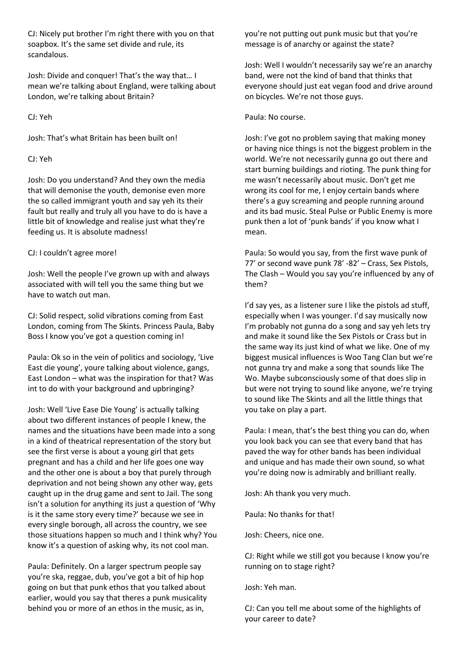CJ: Nicely put brother I'm right there with you on that soapbox. It's the same set divide and rule, its scandalous.

Josh: Divide and conquer! That's the way that… I mean we're talking about England, were talking about London, we're talking about Britain?

CJ: Yeh

Josh: That's what Britain has been built on!

#### CJ: Yeh

Josh: Do you understand? And they own the media that will demonise the youth, demonise even more the so called immigrant youth and say yeh its their fault but really and truly all you have to do is have a little bit of knowledge and realise just what they're feeding us. It is absolute madness!

CJ: I couldn't agree more!

Josh: Well the people I've grown up with and always associated with will tell you the same thing but we have to watch out man.

CJ: Solid respect, solid vibrations coming from East London, coming from The Skints. Princess Paula, Baby Boss I know you've got a question coming in!

Paula: Ok so in the vein of politics and sociology, 'Live East die young', youre talking about violence, gangs, East London – what was the inspiration for that? Was int to do with your background and upbringing?

Josh: Well 'Live Ease Die Young' is actually talking about two different instances of people I knew, the names and the situations have been made into a song in a kind of theatrical representation of the story but see the first verse is about a young girl that gets pregnant and has a child and her life goes one way and the other one is about a boy that purely through deprivation and not being shown any other way, gets caught up in the drug game and sent to Jail. The song isn't a solution for anything its just a question of 'Why is it the same story every time?' because we see in every single borough, all across the country, we see those situations happen so much and I think why? You know it's a question of asking why, its not cool man.

Paula: Definitely. On a larger spectrum people say you're ska, reggae, dub, you've got a bit of hip hop going on but that punk ethos that you talked about earlier, would you say that theres a punk musicality behind you or more of an ethos in the music, as in,

you're not putting out punk music but that you're message is of anarchy or against the state?

Josh: Well I wouldn't necessarily say we're an anarchy band, were not the kind of band that thinks that everyone should just eat vegan food and drive around on bicycles. We're not those guys.

Paula: No course.

Josh: I've got no problem saying that making money or having nice things is not the biggest problem in the world. We're not necessarily gunna go out there and start burning buildings and rioting. The punk thing for me wasn't necessarily about music. Don't get me wrong its cool for me, I enjoy certain bands where there's a guy screaming and people running around and its bad music. Steal Pulse or Public Enemy is more punk then a lot of 'punk bands' if you know what I mean.

Paula: So would you say, from the first wave punk of 77' or second wave punk 78' -82' – Crass, Sex Pistols, The Clash – Would you say you're influenced by any of them?

I'd say yes, as a listener sure I like the pistols ad stuff, especially when I was younger. I'd say musically now I'm probably not gunna do a song and say yeh lets try and make it sound like the Sex Pistols or Crass but in the same way its just kind of what we like. One of my biggest musical influences is Woo Tang Clan but we're not gunna try and make a song that sounds like The Wo. Maybe subconsciously some of that does slip in but were not trying to sound like anyone, we're trying to sound like The Skints and all the little things that you take on play a part.

Paula: I mean, that's the best thing you can do, when you look back you can see that every band that has paved the way for other bands has been individual and unique and has made their own sound, so what you're doing now is admirably and brilliant really.

Josh: Ah thank you very much.

Paula: No thanks for that!

Josh: Cheers, nice one.

CJ: Right while we still got you because I know you're running on to stage right?

Josh: Yeh man.

CJ: Can you tell me about some of the highlights of your career to date?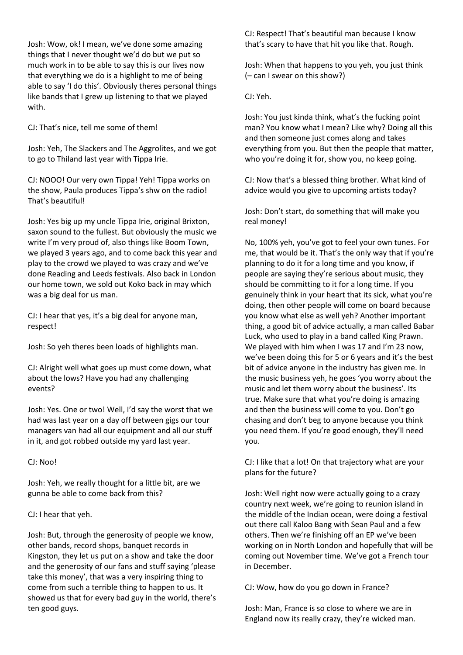Josh: Wow, ok! I mean, we've done some amazing things that I never thought we'd do but we put so much work in to be able to say this is our lives now that everything we do is a highlight to me of being able to say 'I do this'. Obviously theres personal things like bands that I grew up listening to that we played with.

CJ: That's nice, tell me some of them!

Josh: Yeh, The Slackers and The Aggrolites, and we got to go to Thiland last year with Tippa Irie.

CJ: NOOO! Our very own Tippa! Yeh! Tippa works on the show, Paula produces Tippa's shw on the radio! That's beautiful!

Josh: Yes big up my uncle Tippa Irie, original Brixton, saxon sound to the fullest. But obviously the music we write I'm very proud of, also things like Boom Town, we played 3 years ago, and to come back this year and play to the crowd we played to was crazy and we've done Reading and Leeds festivals. Also back in London our home town, we sold out Koko back in may which was a big deal for us man.

CJ: I hear that yes, it's a big deal for anyone man, respect!

Josh: So yeh theres been loads of highlights man.

CJ: Alright well what goes up must come down, what about the lows? Have you had any challenging events?

Josh: Yes. One or two! Well, I'd say the worst that we had was last year on a day off between gigs our tour managers van had all our equipment and all our stuff in it, and got robbed outside my yard last year.

CJ: Noo!

Josh: Yeh, we really thought for a little bit, are we gunna be able to come back from this?

#### CJ: I hear that yeh.

Josh: But, through the generosity of people we know, other bands, record shops, banquet records in Kingston, they let us put on a show and take the door and the generosity of our fans and stuff saying 'please take this money', that was a very inspiring thing to come from such a terrible thing to happen to us. It showed us that for every bad guy in the world, there's ten good guys.

CJ: Respect! That's beautiful man because I know that's scary to have that hit you like that. Rough.

Josh: When that happens to you yeh, you just think (– can I swear on this show?)

CJ: Yeh.

Josh: You just kinda think, what's the fucking point man? You know what I mean? Like why? Doing all this and then someone just comes along and takes everything from you. But then the people that matter, who you're doing it for, show you, no keep going.

CJ: Now that's a blessed thing brother. What kind of advice would you give to upcoming artists today?

Josh: Don't start, do something that will make you real money!

No, 100% yeh, you've got to feel your own tunes. For me, that would be it. That's the only way that if you're planning to do it for a long time and you know, if people are saying they're serious about music, they should be committing to it for a long time. If you genuinely think in your heart that its sick, what you're doing, then other people will come on board because you know what else as well yeh? Another important thing, a good bit of advice actually, a man called Babar Luck, who used to play in a band called King Prawn. We played with him when I was 17 and I'm 23 now, we've been doing this for 5 or 6 years and it's the best bit of advice anyone in the industry has given me. In the music business yeh, he goes 'you worry about the music and let them worry about the business'. Its true. Make sure that what you're doing is amazing and then the business will come to you. Don't go chasing and don't beg to anyone because you think you need them. If you're good enough, they'll need you.

CJ: I like that a lot! On that trajectory what are your plans for the future?

Josh: Well right now were actually going to a crazy country next week, we're going to reunion island in the middle of the Indian ocean, were doing a festival out there call Kaloo Bang with Sean Paul and a few others. Then we're finishing off an EP we've been working on in North London and hopefully that will be coming out November time. We've got a French tour in December.

CJ: Wow, how do you go down in France?

Josh: Man, France is so close to where we are in England now its really crazy, they're wicked man.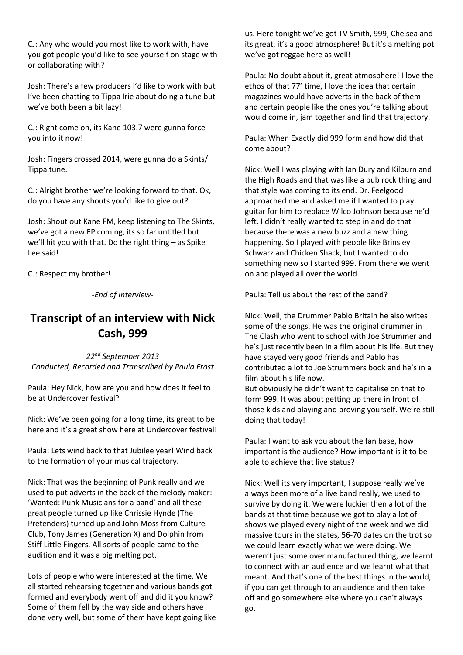CJ: Any who would you most like to work with, have you got people you'd like to see yourself on stage with or collaborating with?

Josh: There's a few producers I'd like to work with but I've been chatting to Tippa Irie about doing a tune but we've both been a bit lazy!

CJ: Right come on, its Kane 103.7 were gunna force you into it now!

Josh: Fingers crossed 2014, were gunna do a Skints/ Tippa tune.

CJ: Alright brother we're looking forward to that. Ok, do you have any shouts you'd like to give out?

Josh: Shout out Kane FM, keep listening to The Skints, we've got a new EP coming, its so far untitled but we'll hit you with that. Do the right thing – as Spike Lee said!

CJ: Respect my brother!

*-End of Interview-*

## **Transcript of an interview with Nick Cash, 999**

*22nd September 2013 Conducted, Recorded and Transcribed by Paula Frost*

Paula: Hey Nick, how are you and how does it feel to be at Undercover festival?

Nick: We've been going for a long time, its great to be here and it's a great show here at Undercover festival!

Paula: Lets wind back to that Jubilee year! Wind back to the formation of your musical trajectory.

Nick: That was the beginning of Punk really and we used to put adverts in the back of the melody maker: 'Wanted: Punk Musicians for a band' and all these great people turned up like Chrissie Hynde (The Pretenders) turned up and John Moss from Culture Club, Tony James (Generation X) and Dolphin from Stiff Little Fingers. All sorts of people came to the audition and it was a big melting pot.

Lots of people who were interested at the time. We all started rehearsing together and various bands got formed and everybody went off and did it you know? Some of them fell by the way side and others have done very well, but some of them have kept going like

us. Here tonight we've got TV Smith, 999, Chelsea and its great, it's a good atmosphere! But it's a melting pot we've got reggae here as well!

Paula: No doubt about it, great atmosphere! I love the ethos of that 77' time, I love the idea that certain magazines would have adverts in the back of them and certain people like the ones you're talking about would come in, jam together and find that trajectory.

Paula: When Exactly did 999 form and how did that come about?

Nick: Well I was playing with Ian Dury and Kilburn and the High Roads and that was like a pub rock thing and that style was coming to its end. Dr. Feelgood approached me and asked me if I wanted to play guitar for him to replace Wilco Johnson because he'd left. I didn't really wanted to step in and do that because there was a new buzz and a new thing happening. So I played with people like Brinsley Schwarz and Chicken Shack, but I wanted to do something new so I started 999. From there we went on and played all over the world.

Paula: Tell us about the rest of the band?

Nick: Well, the Drummer Pablo Britain he also writes some of the songs. He was the original drummer in The Clash who went to school with Joe Strummer and he's just recently been in a film about his life. But they have stayed very good friends and Pablo has contributed a lot to Joe Strummers book and he's in a film about his life now.

But obviously he didn't want to capitalise on that to form 999. It was about getting up there in front of those kids and playing and proving yourself. We're still doing that today!

Paula: I want to ask you about the fan base, how important is the audience? How important is it to be able to achieve that live status?

Nick: Well its very important, I suppose really we've always been more of a live band really, we used to survive by doing it. We were luckier then a lot of the bands at that time because we got to play a lot of shows we played every night of the week and we did massive tours in the states, 56-70 dates on the trot so we could learn exactly what we were doing. We weren't just some over manufactured thing, we learnt to connect with an audience and we learnt what that meant. And that's one of the best things in the world, if you can get through to an audience and then take off and go somewhere else where you can't always go.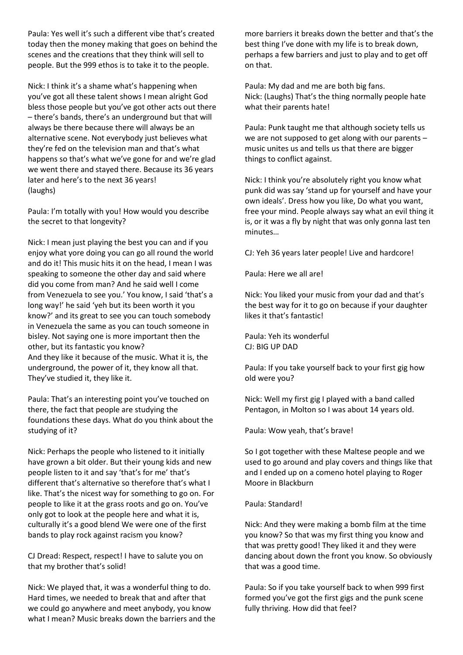Paula: Yes well it's such a different vibe that's created today then the money making that goes on behind the scenes and the creations that they think will sell to people. But the 999 ethos is to take it to the people.

Nick: I think it's a shame what's happening when you've got all these talent shows I mean alright God bless those people but you've got other acts out there – there's bands, there's an underground but that will always be there because there will always be an alternative scene. Not everybody just believes what they're fed on the television man and that's what happens so that's what we've gone for and we're glad we went there and stayed there. Because its 36 years later and here's to the next 36 years! (laughs)

Paula: I'm totally with you! How would you describe the secret to that longevity?

Nick: I mean just playing the best you can and if you enjoy what yore doing you can go all round the world and do it! This music hits it on the head, I mean I was speaking to someone the other day and said where did you come from man? And he said well I come from Venezuela to see you.' You know, I said 'that's a long way!' he said 'yeh but its been worth it you know?' and its great to see you can touch somebody in Venezuela the same as you can touch someone in bisley. Not saying one is more important then the other, but its fantastic you know? And they like it because of the music. What it is, the underground, the power of it, they know all that. They've studied it, they like it.

Paula: That's an interesting point you've touched on there, the fact that people are studying the foundations these days. What do you think about the studying of it?

Nick: Perhaps the people who listened to it initially have grown a bit older. But their young kids and new people listen to it and say 'that's for me' that's different that's alternative so therefore that's what I like. That's the nicest way for something to go on. For people to like it at the grass roots and go on. You've only got to look at the people here and what it is, culturally it's a good blend We were one of the first bands to play rock against racism you know?

CJ Dread: Respect, respect! I have to salute you on that my brother that's solid!

Nick: We played that, it was a wonderful thing to do. Hard times, we needed to break that and after that we could go anywhere and meet anybody, you know what I mean? Music breaks down the barriers and the

more barriers it breaks down the better and that's the best thing I've done with my life is to break down, perhaps a few barriers and just to play and to get off on that.

Paula: My dad and me are both big fans. Nick: (Laughs) That's the thing normally people hate what their parents hate!

Paula: Punk taught me that although society tells us we are not supposed to get along with our parents – music unites us and tells us that there are bigger things to conflict against.

Nick: I think you're absolutely right you know what punk did was say 'stand up for yourself and have your own ideals'. Dress how you like, Do what you want, free your mind. People always say what an evil thing it is, or it was a fly by night that was only gonna last ten minutes…

CJ: Yeh 36 years later people! Live and hardcore!

Paula: Here we all are!

Nick: You liked your music from your dad and that's the best way for it to go on because if your daughter likes it that's fantastic!

Paula: Yeh its wonderful CJ: BIG UP DAD

Paula: If you take yourself back to your first gig how old were you?

Nick: Well my first gig I played with a band called Pentagon, in Molton so I was about 14 years old.

Paula: Wow yeah, that's brave!

So I got together with these Maltese people and we used to go around and play covers and things like that and I ended up on a comeno hotel playing to Roger Moore in Blackburn

Paula: Standard!

Nick: And they were making a bomb film at the time you know? So that was my first thing you know and that was pretty good! They liked it and they were dancing about down the front you know. So obviously that was a good time.

Paula: So if you take yourself back to when 999 first formed you've got the first gigs and the punk scene fully thriving. How did that feel?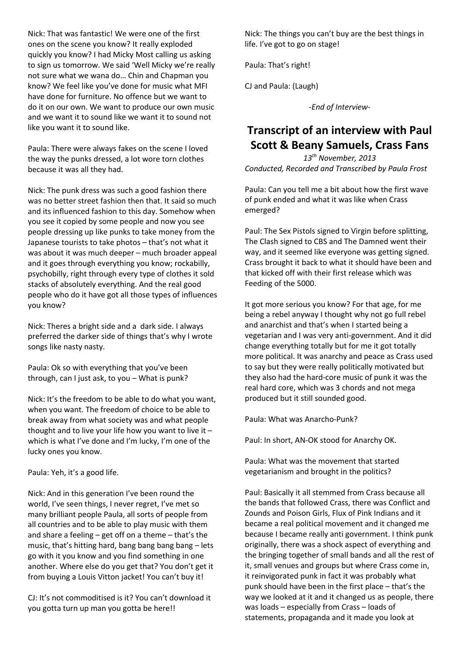Nick: That was fantastic! We were one of the first ones on the scene you know? It really exploded quickly you know? I had Micky Most calling us asking to sign us tomorrow. We said 'Well Micky we're really not sure what we wana do… Chin and Chapman you know? We feel like you've done for music what MFI have done for furniture. No offence but we want to do it on our own. We want to produce our own music and we want it to sound like we want it to sound not like you want it to sound like.

Paula: There were always fakes on the scene I loved the way the punks dressed, a lot wore torn clothes because it was all they had.

Nick: The punk dress was such a good fashion there was no better street fashion then that. It said so much and its influenced fashion to this day. Somehow when you see it copied by some people and now you see people dressing up like punks to take money from the Japanese tourists to take photos – that's not what it was about it was much deeper – much broader appeal and it goes through everything you know; rockabilly, psychobilly, right through every type of clothes it sold stacks of absolutely everything. And the real good people who do it have got all those types of influences you know?

Nick: Theres a bright side and a dark side. I always preferred the darker side of things that's why I wrote songs like nasty nasty.

Paula: Ok so with everything that you've been through, can I just ask, to you – What is punk?

Nick: It's the freedom to be able to do what you want, when you want. The freedom of choice to be able to break away from what society was and what people thought and to live your life how you want to live it  $$ which is what I've done and I'm lucky, I'm one of the lucky ones you know.

Paula: Yeh, it's a good life.

Nick: And in this generation I've been round the world, I've seen things, I never regret, I've met so many brilliant people Paula, all sorts of people from all countries and to be able to play music with them and share a feeling – get off on a theme – that's the music, that's hitting hard, bang bang bang bang – lets go with it you know and you find something in one another. Where else do you get that? You don't get it from buying a Louis Vitton jacket! You can't buy it!

CJ: It's not commoditised is it? You can't download it you gotta turn up man you gotta be here!!

Nick: The things you can't buy are the best things in life. I've got to go on stage!

Paula: That's right!

CJ and Paula: (Laugh)

*-End of Interview-*

## **Transcript of an interview with Paul Scott & Beany Samuels, Crass Fans**

*13th November, 2013 Conducted, Recorded and Transcribed by Paula Frost*

Paula: Can you tell me a bit about how the first wave of punk ended and what it was like when Crass emerged?

Paul: The Sex Pistols signed to Virgin before splitting, The Clash signed to CBS and The Damned went their way, and it seemed like everyone was getting signed. Crass brought it back to what it should have been and that kicked off with their first release which was Feeding of the 5000.

It got more serious you know? For that age, for me being a rebel anyway I thought why not go full rebel and anarchist and that's when I started being a vegetarian and I was very anti-government. And it did change everything totally but for me it got totally more political. It was anarchy and peace as Crass used to say but they were really politically motivated but they also had the hard-core music of punk it was the real hard core, which was 3 chords and not mega produced but it still sounded good.

Paula: What was Anarcho-Punk?

Paul: In short, AN-OK stood for Anarchy OK.

Paula: What was the movement that started vegetarianism and brought in the politics?

Paul: Basically it all stemmed from Crass because all the bands that followed Crass, there was Conflict and Zounds and Poison Girls, Flux of Pink Indians and it became a real political movement and it changed me because I became really anti government. I think punk originally, there was a shock aspect of everything and the bringing together of small bands and all the rest of it, small venues and groups but where Crass come in, it reinvigorated punk in fact it was probably what punk should have been in the first place – that's the way we looked at it and it changed us as people, there was loads – especially from Crass – loads of statements, propaganda and it made you look at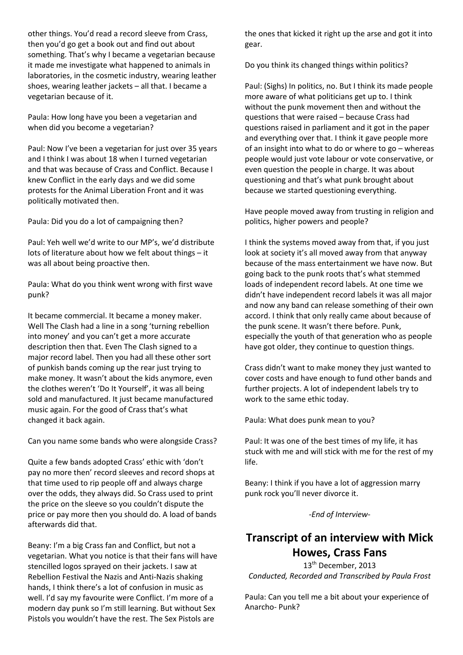other things. You'd read a record sleeve from Crass, then you'd go get a book out and find out about something. That's why I became a vegetarian because it made me investigate what happened to animals in laboratories, in the cosmetic industry, wearing leather shoes, wearing leather jackets – all that. I became a vegetarian because of it.

Paula: How long have you been a vegetarian and when did you become a vegetarian?

Paul: Now I've been a vegetarian for just over 35 years and I think I was about 18 when I turned vegetarian and that was because of Crass and Conflict. Because I knew Conflict in the early days and we did some protests for the Animal Liberation Front and it was politically motivated then.

Paula: Did you do a lot of campaigning then?

Paul: Yeh well we'd write to our MP's, we'd distribute lots of literature about how we felt about things – it was all about being proactive then.

Paula: What do you think went wrong with first wave punk?

It became commercial. It became a money maker. Well The Clash had a line in a song 'turning rebellion into money' and you can't get a more accurate description then that. Even The Clash signed to a major record label. Then you had all these other sort of punkish bands coming up the rear just trying to make money. It wasn't about the kids anymore, even the clothes weren't 'Do It Yourself', it was all being sold and manufactured. It just became manufactured music again. For the good of Crass that's what changed it back again.

Can you name some bands who were alongside Crass?

Quite a few bands adopted Crass' ethic with 'don't pay no more then' record sleeves and record shops at that time used to rip people off and always charge over the odds, they always did. So Crass used to print the price on the sleeve so you couldn't dispute the price or pay more then you should do. A load of bands afterwards did that.

Beany: I'm a big Crass fan and Conflict, but not a vegetarian. What you notice is that their fans will have stencilled logos sprayed on their jackets. I saw at Rebellion Festival the Nazis and Anti-Nazis shaking hands, I think there's a lot of confusion in music as well. I'd say my favourite were Conflict. I'm more of a modern day punk so I'm still learning. But without Sex Pistols you wouldn't have the rest. The Sex Pistols are

the ones that kicked it right up the arse and got it into gear.

Do you think its changed things within politics?

Paul: (Sighs) In politics, no. But I think its made people more aware of what politicians get up to. I think without the punk movement then and without the questions that were raised – because Crass had questions raised in parliament and it got in the paper and everything over that. I think it gave people more of an insight into what to do or where to go – whereas people would just vote labour or vote conservative, or even question the people in charge. It was about questioning and that's what punk brought about because we started questioning everything.

Have people moved away from trusting in religion and politics, higher powers and people?

I think the systems moved away from that, if you just look at society it's all moved away from that anyway because of the mass entertainment we have now. But going back to the punk roots that's what stemmed loads of independent record labels. At one time we didn't have independent record labels it was all major and now any band can release something of their own accord. I think that only really came about because of the punk scene. It wasn't there before. Punk, especially the youth of that generation who as people have got older, they continue to question things.

Crass didn't want to make money they just wanted to cover costs and have enough to fund other bands and further projects. A lot of independent labels try to work to the same ethic today.

Paula: What does punk mean to you?

Paul: It was one of the best times of my life, it has stuck with me and will stick with me for the rest of my life.

Beany: I think if you have a lot of aggression marry punk rock you'll never divorce it.

*-End of Interview-*

## **Transcript of an interview with Mick Howes, Crass Fans**

13<sup>th</sup> December, 2013 *Conducted, Recorded and Transcribed by Paula Frost*

Paula: Can you tell me a bit about your experience of Anarcho- Punk?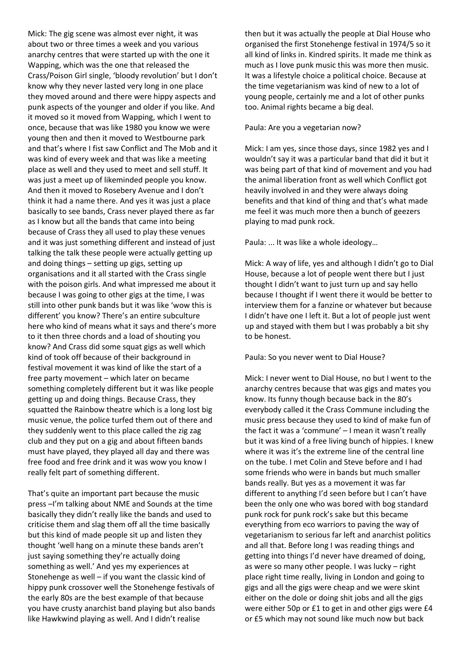Mick: The gig scene was almost ever night, it was about two or three times a week and you various anarchy centres that were started up with the one it Wapping, which was the one that released the Crass/Poison Girl single, 'bloody revolution' but I don't know why they never lasted very long in one place they moved around and there were hippy aspects and punk aspects of the younger and older if you like. And it moved so it moved from Wapping, which I went to once, because that was like 1980 you know we were young then and then it moved to Westbourne park and that's where I fist saw Conflict and The Mob and it was kind of every week and that was like a meeting place as well and they used to meet and sell stuff. It was just a meet up of likeminded people you know. And then it moved to Rosebery Avenue and I don't think it had a name there. And yes it was just a place basically to see bands, Crass never played there as far as I know but all the bands that came into being because of Crass they all used to play these venues and it was just something different and instead of just talking the talk these people were actually getting up and doing things – setting up gigs, setting up organisations and it all started with the Crass single with the poison girls. And what impressed me about it because I was going to other gigs at the time, I was still into other punk bands but it was like 'wow this is different' you know? There's an entire subculture here who kind of means what it says and there's more to it then three chords and a load of shouting you know? And Crass did some squat gigs as well which kind of took off because of their background in festival movement it was kind of like the start of a free party movement – which later on became something completely different but it was like people getting up and doing things. Because Crass, they squatted the Rainbow theatre which is a long lost big music venue, the police turfed them out of there and they suddenly went to this place called the zig zag club and they put on a gig and about fifteen bands must have played, they played all day and there was free food and free drink and it was wow you know I really felt part of something different.

That's quite an important part because the music press –I'm talking about NME and Sounds at the time basically they didn't really like the bands and used to criticise them and slag them off all the time basically but this kind of made people sit up and listen they thought 'well hang on a minute these bands aren't just saying something they're actually doing something as well.' And yes my experiences at Stonehenge as well – if you want the classic kind of hippy punk crossover well the Stonehenge festivals of the early 80s are the best example of that because you have crusty anarchist band playing but also bands like Hawkwind playing as well. And I didn't realise

then but it was actually the people at Dial House who organised the first Stonehenge festival in 1974/5 so it all kind of links in. Kindred spirits. It made me think as much as I love punk music this was more then music. It was a lifestyle choice a political choice. Because at the time vegetarianism was kind of new to a lot of young people, certainly me and a lot of other punks too. Animal rights became a big deal.

Paula: Are you a vegetarian now?

Mick: I am yes, since those days, since 1982 yes and I wouldn't say it was a particular band that did it but it was being part of that kind of movement and you had the animal liberation front as well which Conflict got heavily involved in and they were always doing benefits and that kind of thing and that's what made me feel it was much more then a bunch of geezers playing to mad punk rock.

Paula: ... It was like a whole ideology…

Mick: A way of life, yes and although I didn't go to Dial House, because a lot of people went there but I just thought I didn't want to just turn up and say hello because I thought if I went there it would be better to interview them for a fanzine or whatever but because I didn't have one I left it. But a lot of people just went up and stayed with them but I was probably a bit shy to be honest.

Paula: So you never went to Dial House?

Mick: I never went to Dial House, no but I went to the anarchy centres because that was gigs and mates you know. Its funny though because back in the 80's everybody called it the Crass Commune including the music press because they used to kind of make fun of the fact it was a 'commune' – I mean it wasn't really but it was kind of a free living bunch of hippies. I knew where it was it's the extreme line of the central line on the tube. I met Colin and Steve before and I had some friends who were in bands but much smaller bands really. But yes as a movement it was far different to anything I'd seen before but I can't have been the only one who was bored with bog standard punk rock for punk rock's sake but this became everything from eco warriors to paving the way of vegetarianism to serious far left and anarchist politics and all that. Before long I was reading things and getting into things I'd never have dreamed of doing, as were so many other people. I was lucky – right place right time really, living in London and going to gigs and all the gigs were cheap and we were skint either on the dole or doing shit jobs and all the gigs were either 50p or £1 to get in and other gigs were £4 or £5 which may not sound like much now but back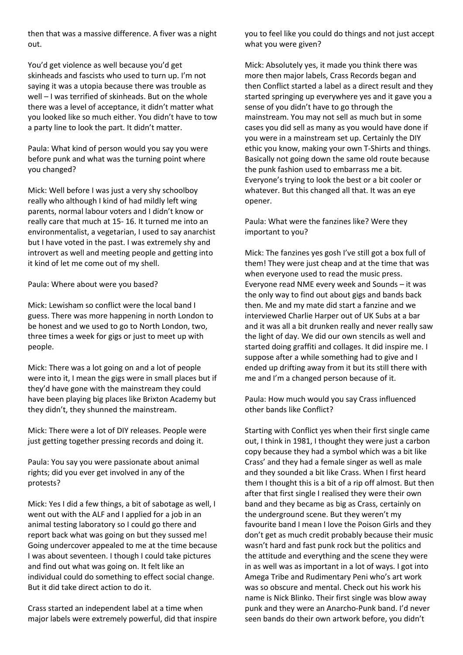then that was a massive difference. A fiver was a night out.

You'd get violence as well because you'd get skinheads and fascists who used to turn up. I'm not saying it was a utopia because there was trouble as well – I was terrified of skinheads. But on the whole there was a level of acceptance, it didn't matter what you looked like so much either. You didn't have to tow a party line to look the part. It didn't matter.

Paula: What kind of person would you say you were before punk and what was the turning point where you changed?

Mick: Well before I was just a very shy schoolboy really who although I kind of had mildly left wing parents, normal labour voters and I didn't know or really care that much at 15- 16. It turned me into an environmentalist, a vegetarian, I used to say anarchist but I have voted in the past. I was extremely shy and introvert as well and meeting people and getting into it kind of let me come out of my shell.

Paula: Where about were you based?

Mick: Lewisham so conflict were the local band I guess. There was more happening in north London to be honest and we used to go to North London, two, three times a week for gigs or just to meet up with people.

Mick: There was a lot going on and a lot of people were into it, I mean the gigs were in small places but if they'd have gone with the mainstream they could have been playing big places like Brixton Academy but they didn't, they shunned the mainstream.

Mick: There were a lot of DIY releases. People were just getting together pressing records and doing it.

Paula: You say you were passionate about animal rights; did you ever get involved in any of the protests?

Mick: Yes I did a few things, a bit of sabotage as well, I went out with the ALF and I applied for a job in an animal testing laboratory so I could go there and report back what was going on but they sussed me! Going undercover appealed to me at the time because I was about seventeen. I though I could take pictures and find out what was going on. It felt like an individual could do something to effect social change. But it did take direct action to do it.

Crass started an independent label at a time when major labels were extremely powerful, did that inspire you to feel like you could do things and not just accept what you were given?

Mick: Absolutely yes, it made you think there was more then major labels, Crass Records began and then Conflict started a label as a direct result and they started springing up everywhere yes and it gave you a sense of you didn't have to go through the mainstream. You may not sell as much but in some cases you did sell as many as you would have done if you were in a mainstream set up. Certainly the DIY ethic you know, making your own T-Shirts and things. Basically not going down the same old route because the punk fashion used to embarrass me a bit. Everyone's trying to look the best or a bit cooler or whatever. But this changed all that. It was an eye opener.

Paula: What were the fanzines like? Were they important to you?

Mick: The fanzines yes gosh I've still got a box full of them! They were just cheap and at the time that was when everyone used to read the music press. Everyone read NME every week and Sounds – it was the only way to find out about gigs and bands back then. Me and my mate did start a fanzine and we interviewed Charlie Harper out of UK Subs at a bar and it was all a bit drunken really and never really saw the light of day. We did our own stencils as well and started doing graffiti and collages. It did inspire me. I suppose after a while something had to give and I ended up drifting away from it but its still there with me and I'm a changed person because of it.

Paula: How much would you say Crass influenced other bands like Conflict?

Starting with Conflict yes when their first single came out, I think in 1981, I thought they were just a carbon copy because they had a symbol which was a bit like Crass' and they had a female singer as well as male and they sounded a bit like Crass. When I first heard them I thought this is a bit of a rip off almost. But then after that first single I realised they were their own band and they became as big as Crass, certainly on the underground scene. But they weren't my favourite band I mean I love the Poison Girls and they don't get as much credit probably because their music wasn't hard and fast punk rock but the politics and the attitude and everything and the scene they were in as well was as important in a lot of ways. I got into Amega Tribe and Rudimentary Peni who's art work was so obscure and mental. Check out his work his name is Nick Blinko. Their first single was blow away punk and they were an Anarcho-Punk band. I'd never seen bands do their own artwork before, you didn't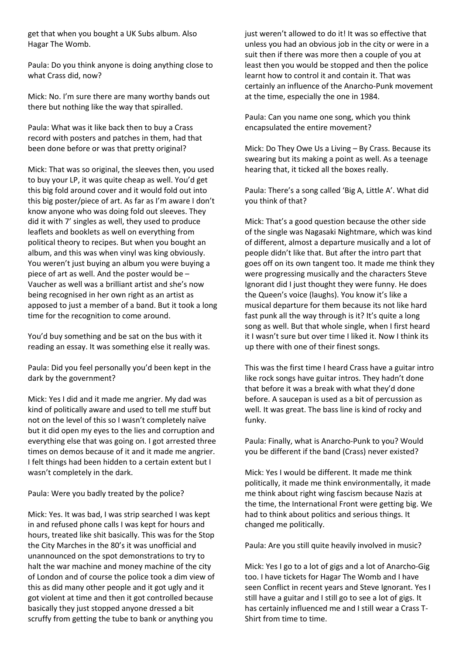get that when you bought a UK Subs album. Also Hagar The Womb.

Paula: Do you think anyone is doing anything close to what Crass did, now?

Mick: No. I'm sure there are many worthy bands out there but nothing like the way that spiralled.

Paula: What was it like back then to buy a Crass record with posters and patches in them, had that been done before or was that pretty original?

Mick: That was so original, the sleeves then, you used to buy your LP, it was quite cheap as well. You'd get this big fold around cover and it would fold out into this big poster/piece of art. As far as I'm aware I don't know anyone who was doing fold out sleeves. They did it with 7' singles as well, they used to produce leaflets and booklets as well on everything from political theory to recipes. But when you bought an album, and this was when vinyl was king obviously. You weren't just buying an album you were buying a piece of art as well. And the poster would be – Vaucher as well was a brilliant artist and she's now being recognised in her own right as an artist as apposed to just a member of a band. But it took a long time for the recognition to come around.

You'd buy something and be sat on the bus with it reading an essay. It was something else it really was.

Paula: Did you feel personally you'd been kept in the dark by the government?

Mick: Yes I did and it made me angrier. My dad was kind of politically aware and used to tell me stuff but not on the level of this so I wasn't completely naïve but it did open my eyes to the lies and corruption and everything else that was going on. I got arrested three times on demos because of it and it made me angrier. I felt things had been hidden to a certain extent but I wasn't completely in the dark.

Paula: Were you badly treated by the police?

Mick: Yes. It was bad, I was strip searched I was kept in and refused phone calls I was kept for hours and hours, treated like shit basically. This was for the Stop the City Marches in the 80's it was unofficial and unannounced on the spot demonstrations to try to halt the war machine and money machine of the city of London and of course the police took a dim view of this as did many other people and it got ugly and it got violent at time and then it got controlled because basically they just stopped anyone dressed a bit scruffy from getting the tube to bank or anything you

just weren't allowed to do it! It was so effective that unless you had an obvious job in the city or were in a suit then if there was more then a couple of you at least then you would be stopped and then the police learnt how to control it and contain it. That was certainly an influence of the Anarcho-Punk movement at the time, especially the one in 1984.

Paula: Can you name one song, which you think encapsulated the entire movement?

Mick: Do They Owe Us a Living – By Crass. Because its swearing but its making a point as well. As a teenage hearing that, it ticked all the boxes really.

Paula: There's a song called 'Big A, Little A'. What did you think of that?

Mick: That's a good question because the other side of the single was Nagasaki Nightmare, which was kind of different, almost a departure musically and a lot of people didn't like that. But after the intro part that goes off on its own tangent too. It made me think they were progressing musically and the characters Steve Ignorant did I just thought they were funny. He does the Queen's voice (laughs). You know it's like a musical departure for them because its not like hard fast punk all the way through is it? It's quite a long song as well. But that whole single, when I first heard it I wasn't sure but over time I liked it. Now I think its up there with one of their finest songs.

This was the first time I heard Crass have a guitar intro like rock songs have guitar intros. They hadn't done that before it was a break with what they'd done before. A saucepan is used as a bit of percussion as well. It was great. The bass line is kind of rocky and funky.

Paula: Finally, what is Anarcho-Punk to you? Would you be different if the band (Crass) never existed?

Mick: Yes I would be different. It made me think politically, it made me think environmentally, it made me think about right wing fascism because Nazis at the time, the International Front were getting big. We had to think about politics and serious things. It changed me politically.

Paula: Are you still quite heavily involved in music?

Mick: Yes I go to a lot of gigs and a lot of Anarcho-Gig too. I have tickets for Hagar The Womb and I have seen Conflict in recent years and Steve Ignorant. Yes I still have a guitar and I still go to see a lot of gigs. It has certainly influenced me and I still wear a Crass T-Shirt from time to time.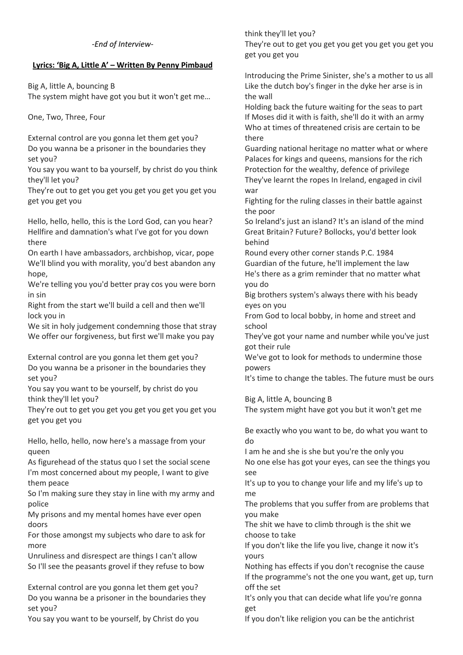#### *-End of Interview-*

#### **Lyrics: 'Big A, Little A' – Written By Penny Pimbaud**

Big A, little A, bouncing B

The system might have got you but it won't get me…

One, Two, Three, Four

External control are you gonna let them get you? Do you wanna be a prisoner in the boundaries they set you?

You say you want to ba yourself, by christ do you think they'll let you?

They're out to get you get you get you get you get you get you get you

Hello, hello, hello, this is the Lord God, can you hear? Hellfire and damnation's what I've got for you down there

On earth I have ambassadors, archbishop, vicar, pope We'll blind you with morality, you'd best abandon any hope,

We're telling you you'd better pray cos you were born in sin

Right from the start we'll build a cell and then we'll lock you in

We sit in holy judgement condemning those that stray We offer our forgiveness, but first we'll make you pay

External control are you gonna let them get you? Do you wanna be a prisoner in the boundaries they set you?

You say you want to be yourself, by christ do you think they'll let you?

They're out to get you get you get you get you get you get you get you

Hello, hello, hello, now here's a massage from your queen

As figurehead of the status quo I set the social scene I'm most concerned about my people, I want to give them peace

So I'm making sure they stay in line with my army and police

My prisons and my mental homes have ever open doors

For those amongst my subjects who dare to ask for more

Unruliness and disrespect are things I can't allow So I'll see the peasants grovel if they refuse to bow

External control are you gonna let them get you? Do you wanna be a prisoner in the boundaries they set you?

You say you want to be yourself, by Christ do you

think they'll let you?

They're out to get you get you get you get you get you get you get you

Introducing the Prime Sinister, she's a mother to us all Like the dutch boy's finger in the dyke her arse is in the wall

Holding back the future waiting for the seas to part If Moses did it with is faith, she'll do it with an army Who at times of threatened crisis are certain to be there

Guarding national heritage no matter what or where Palaces for kings and queens, mansions for the rich Protection for the wealthy, defence of privilege They've learnt the ropes In Ireland, engaged in civil war

Fighting for the ruling classes in their battle against the poor

So Ireland's just an island? It's an island of the mind Great Britain? Future? Bollocks, you'd better look behind

Round every other corner stands P.C. 1984 Guardian of the future, he'll implement the law He's there as a grim reminder that no matter what you do

Big brothers system's always there with his beady eyes on you

From God to local bobby, in home and street and school

They've got your name and number while you've just got their rule

We've got to look for methods to undermine those powers

It's time to change the tables. The future must be ours

Big A, little A, bouncing B

The system might have got you but it won't get me

Be exactly who you want to be, do what you want to do

I am he and she is she but you're the only you No one else has got your eyes, can see the things you see

It's up to you to change your life and my life's up to me

The problems that you suffer from are problems that you make

The shit we have to climb through is the shit we choose to take

If you don't like the life you live, change it now it's yours

Nothing has effects if you don't recognise the cause If the programme's not the one you want, get up, turn off the set

It's only you that can decide what life you're gonna get

If you don't like religion you can be the antichrist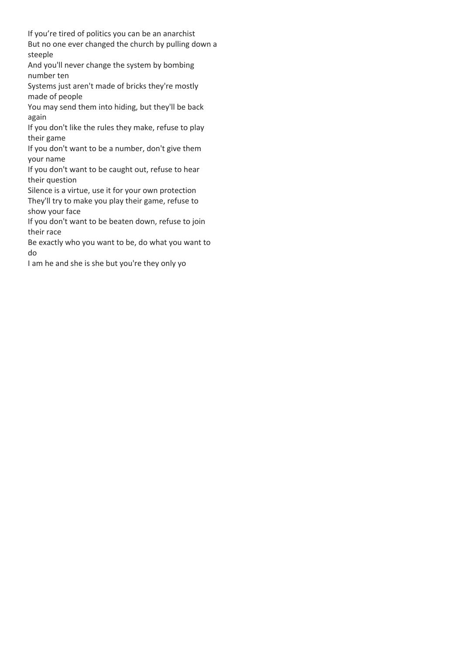If you're tired of politics you can be an anarchist

But no one ever changed the church by pulling down a steeple

And you'll never change the system by bombing number ten

Systems just aren't made of bricks they're mostly made of people

You may send them into hiding, but they'll be back again

If you don't like the rules they make, refuse to play their game

If you don't want to be a number, don't give them your name

If you don't want to be caught out, refuse to hear their question

Silence is a virtue, use it for your own protection They'll try to make you play their game, refuse to show your face

If you don't want to be beaten down, refuse to join their race

Be exactly who you want to be, do what you want to do

I am he and she is she but you're they only yo